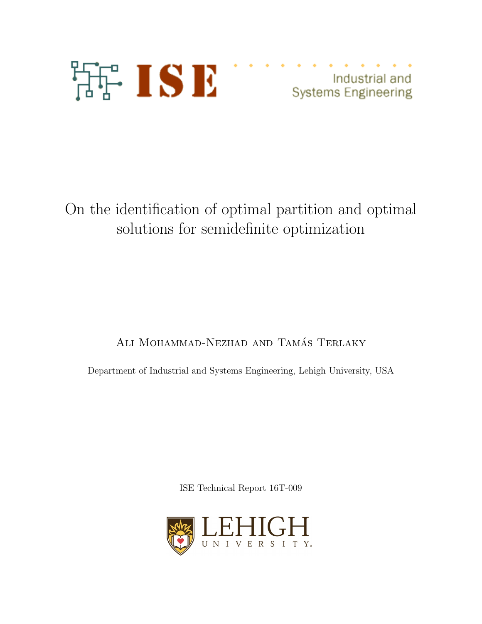

Industrial and **Systems Engineering** 

# On the identification of optimal partition and optimal solutions for semidefinite optimization

# ALI MOHAMMAD-NEZHAD AND TAMÁS TERLAKY

Department of Industrial and Systems Engineering, Lehigh University, USA

ISE Technical Report 16T-009

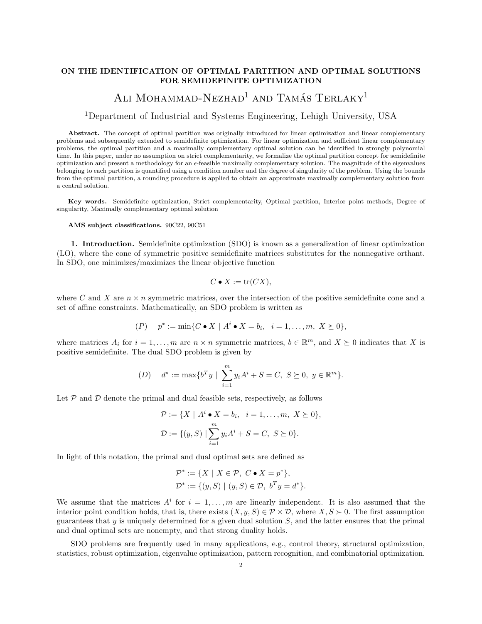### ON THE IDENTIFICATION OF OPTIMAL PARTITION AND OPTIMAL SOLUTIONS FOR SEMIDEFINITE OPTIMIZATION

## ALI MOHAMMAD-NEZHAD<sup>1</sup> AND TAMÁS TERLAKY<sup>1</sup>

### <sup>1</sup>Department of Industrial and Systems Engineering, Lehigh University, USA

Abstract. The concept of optimal partition was originally introduced for linear optimization and linear complementary problems and subsequently extended to semidefinite optimization. For linear optimization and sufficient linear complementary problems, the optimal partition and a maximally complementary optimal solution can be identified in strongly polynomial time. In this paper, under no assumption on strict complementarity, we formalize the optimal partition concept for semidefinite optimization and present a methodology for an  $\epsilon$ -feasible maximally complementary solution. The magnitude of the eigenvalues belonging to each partition is quantified using a condition number and the degree of singularity of the problem. Using the bounds from the optimal partition, a rounding procedure is applied to obtain an approximate maximally complementary solution from a central solution.

Key words. Semidefinite optimization, Strict complementarity, Optimal partition, Interior point methods, Degree of singularity, Maximally complementary optimal solution

AMS subject classifications. 90C22, 90C51

1. Introduction. Semidefinite optimization (SDO) is known as a generalization of linear optimization (LO), where the cone of symmetric positive semidefinite matrices substitutes for the nonnegative orthant. In SDO, one minimizes/maximizes the linear objective function

$$
C \bullet X := \operatorname{tr}(CX),
$$

where C and X are  $n \times n$  symmetric matrices, over the intersection of the positive semidefinite cone and a set of affine constraints. Mathematically, an SDO problem is written as

$$
(P) \quad p^* := \min\{C \bullet X \mid A^i \bullet X = b_i, \ i = 1, \dots, m, \ X \succeq 0\},
$$

where matrices  $A_i$  for  $i = 1, ..., m$  are  $n \times n$  symmetric matrices,  $b \in \mathbb{R}^m$ , and  $X \succeq 0$  indicates that X is positive semidefinite. The dual SDO problem is given by

(D) 
$$
d^* := \max\{b^T y \mid \sum_{i=1}^m y_i A^i + S = C, S \ge 0, y \in \mathbb{R}^m\}.
$$

Let  $P$  and  $D$  denote the primal and dual feasible sets, respectively, as follows

$$
\mathcal{P} := \{ X \mid A^i \bullet X = b_i, \ i = 1, ..., m, \ X \succeq 0 \},
$$

$$
\mathcal{D} := \{ (y, S) \mid \sum_{i=1}^m y_i A^i + S = C, \ S \succeq 0 \}.
$$

In light of this notation, the primal and dual optimal sets are defined as

$$
\mathcal{P}^* := \{ X \mid X \in \mathcal{P}, \ C \bullet X = p^* \},
$$
  

$$
\mathcal{D}^* := \{ (y, S) \mid (y, S) \in \mathcal{D}, \ b^T y = d^* \}.
$$

We assume that the matrices  $A^i$  for  $i = 1, \ldots, m$  are linearly independent. It is also assumed that the interior point condition holds, that is, there exists  $(X, y, S) \in \mathcal{P} \times \mathcal{D}$ , where  $X, S \succ 0$ . The first assumption guarantees that  $y$  is uniquely determined for a given dual solution  $S$ , and the latter ensures that the primal and dual optimal sets are nonempty, and that strong duality holds.

SDO problems are frequently used in many applications, e.g., control theory, structural optimization, statistics, robust optimization, eigenvalue optimization, pattern recognition, and combinatorial optimization.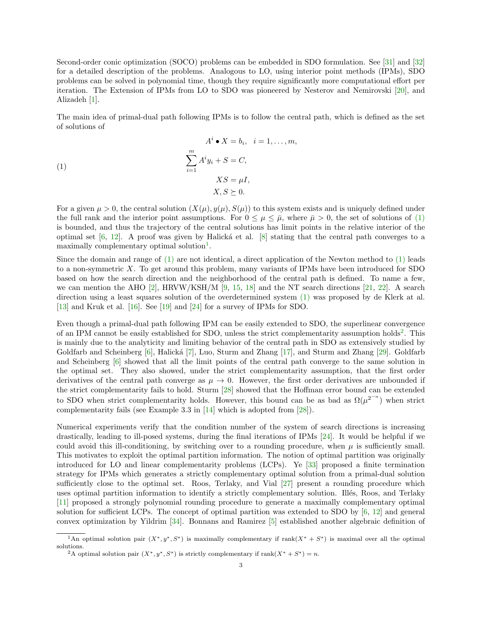Second-order conic optimization (SOCO) problems can be embedded in SDO formulation. See [\[31\]](#page-22-0) and [\[32\]](#page-22-1) for a detailed description of the problems. Analogous to LO, using interior point methods (IPMs), SDO problems can be solved in polynomial time, though they require significantly more computational effort per iteration. The Extension of IPMs from LO to SDO was pioneered by Nesterov and Nemirovski [\[20\]](#page-22-2), and Alizadeh [\[1\]](#page-21-0).

The main idea of primal-dual path following IPMs is to follow the central path, which is defined as the set of solutions of

<span id="page-2-0"></span>(1)  
\n
$$
A^{i} \bullet X = b_{i}, \quad i = 1, ..., m,
$$
\n
$$
\sum_{i=1}^{m} A^{i} y_{i} + S = C,
$$
\n
$$
XS = \mu I,
$$
\n
$$
X, S \succeq 0.
$$

For a given  $\mu > 0$ , the central solution  $(X(\mu), y(\mu), S(\mu))$  to this system exists and is uniquely defined under the full rank and the interior point assumptions. For  $0 \leq \mu \leq \bar{\mu}$ , where  $\bar{\mu} > 0$ , the set of solutions of [\(1\)](#page-2-0) is bounded, and thus the trajectory of the central solutions has limit points in the relative interior of the optimal set  $[6, 12]$  $[6, 12]$  $[6, 12]$ . A proof was given by Halická et al.  $[8]$  stating that the central path converges to a maximally complementary optimal solution<sup>[1](#page-2-1)</sup>.

Since the domain and range of [\(1\)](#page-2-0) are not identical, a direct application of the Newton method to [\(1\)](#page-2-0) leads to a non-symmetric X. To get around this problem, many variants of IPMs have been introduced for SDO based on how the search direction and the neighborhood of the central path is defined. To name a few, we can mention the AHO [\[2\]](#page-21-4),  $HRVW/KSH/M$  [\[9,](#page-21-5) [15,](#page-22-3) [18\]](#page-22-4) and the NT search directions [\[21,](#page-22-5) [22\]](#page-22-6). A search direction using a least squares solution of the overdetermined system [\(1\)](#page-2-0) was proposed by de Klerk at al. [\[13\]](#page-21-6) and Kruk et al. [\[16\]](#page-22-7). See [\[19\]](#page-22-8) and [\[24\]](#page-22-9) for a survey of IPMs for SDO.

Even though a primal-dual path following IPM can be easily extended to SDO, the superlinear convergence of an IPM cannot be easily established for SDO, unless the strict complementarity assumption holds<sup>[2](#page-2-2)</sup>. This is mainly due to the analyticity and limiting behavior of the central path in SDO as extensively studied by Goldfarb and Scheinberg [\[6\]](#page-21-1), Halická [\[7\]](#page-21-7), Luo, Sturm and Zhang [\[17\]](#page-22-10), and Sturm and Zhang [\[29\]](#page-22-11). Goldfarb and Scheinberg [\[6\]](#page-21-1) showed that all the limit points of the central path converge to the same solution in the optimal set. They also showed, under the strict complementarity assumption, that the first order derivatives of the central path converge as  $\mu \to 0$ . However, the first order derivatives are unbounded if the strict complementarity fails to hold. Sturm [\[28\]](#page-22-12) showed that the Hoffman error bound can be extended to SDO when strict complementarity holds. However, this bound can be as bad as  $\Omega(\mu^{2^{-n}})$  when strict complementarity fails (see Example 3.3 in [\[14\]](#page-22-13) which is adopted from [\[28\]](#page-22-12)).

Numerical experiments verify that the condition number of the system of search directions is increasing drastically, leading to ill-posed systems, during the final iterations of IPMs [\[24\]](#page-22-9). It would be helpful if we could avoid this ill-conditioning, by switching over to a rounding procedure, when  $\mu$  is sufficiently small. This motivates to exploit the optimal partition information. The notion of optimal partition was originally introduced for LO and linear complementarity problems (LCPs). Ye [\[33\]](#page-22-14) proposed a finite termination strategy for IPMs which generates a strictly complementary optimal solution from a primal-dual solution sufficiently close to the optimal set. Roos, Terlaky, and Vial [\[27\]](#page-22-15) present a rounding procedure which uses optimal partition information to identify a strictly complementary solution. Illés, Roos, and Terlaky [\[11\]](#page-21-8) proposed a strongly polynomial rounding procedure to generate a maximally complementary optimal solution for sufficient LCPs. The concept of optimal partition was extended to SDO by [\[6,](#page-21-1) [12\]](#page-21-2) and general convex optimization by Yildrim [\[34\]](#page-22-16). Bonnans and Ramirez [\[5\]](#page-21-9) established another algebraic definition of

<span id="page-2-1"></span><sup>&</sup>lt;sup>1</sup>An optimal solution pair  $(X^*, y^*, S^*)$  is maximally complementary if rank $(X^* + S^*)$  is maximal over all the optimal solutions.

<span id="page-2-2"></span><sup>&</sup>lt;sup>2</sup>A optimal solution pair  $(X^*, y^*, S^*)$  is strictly complementary if rank $(X^* + S^*) = n$ .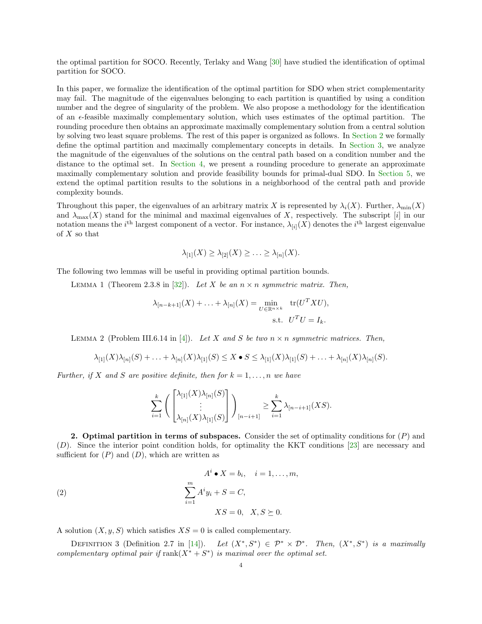the optimal partition for SOCO. Recently, Terlaky and Wang [\[30\]](#page-22-17) have studied the identification of optimal partition for SOCO.

In this paper, we formalize the identification of the optimal partition for SDO when strict complementarity may fail. The magnitude of the eigenvalues belonging to each partition is quantified by using a condition number and the degree of singularity of the problem. We also propose a methodology for the identification of an  $\epsilon$ -feasible maximally complementary solution, which uses estimates of the optimal partition. The rounding procedure then obtains an approximate maximally complementary solution from a central solution by solving two least square problems. The rest of this paper is organized as follows. In [Section 2](#page-3-0) we formally define the optimal partition and maximally complementary concepts in details. In [Section 3,](#page-5-0) we analyze the magnitude of the eigenvalues of the solutions on the central path based on a condition number and the distance to the optimal set. In [Section 4,](#page-8-0) we present a rounding procedure to generate an approximate maximally complementary solution and provide feasibility bounds for primal-dual SDO. In [Section 5,](#page-14-0) we extend the optimal partition results to the solutions in a neighborhood of the central path and provide complexity bounds.

Throughout this paper, the eigenvalues of an arbitrary matrix X is represented by  $\lambda_i(X)$ . Further,  $\lambda_{\min}(X)$ and  $\lambda_{\max}(X)$  stand for the minimal and maximal eigenvalues of X, respectively. The subscript [i] in our notation means the *i*<sup>th</sup> largest component of a vector. For instance,  $\lambda_{[i]}(X)$  denotes the *i*<sup>th</sup> largest eigenvalue of  $X$  so that

$$
\lambda_{[1]}(X) \geq \lambda_{[2]}(X) \geq \ldots \geq \lambda_{[n]}(X).
$$

<span id="page-3-2"></span>The following two lemmas will be useful in providing optimal partition bounds.

LEMMA 1 (Theorem 2.3.8 in [\[32\]](#page-22-1)). Let X be an  $n \times n$  symmetric matrix. Then,

$$
\lambda_{[n-k+1]}(X) + \ldots + \lambda_{[n]}(X) = \min_{U \in \mathbb{R}^{n \times k}} \text{tr}(U^T X U),
$$
  
s.t. 
$$
U^T U = I_k.
$$

<span id="page-3-3"></span>LEMMA 2 (Problem III.6.14 in [\[4\]](#page-21-10)). Let X and S be two  $n \times n$  symmetric matrices. Then,

$$
\lambda_{[1]}(X)\lambda_{[n]}(S)+\ldots+\lambda_{[n]}(X)\lambda_{[1]}(S)\leq X\bullet S\leq \lambda_{[1]}(X)\lambda_{[1]}(S)+\ldots+\lambda_{[n]}(X)\lambda_{[n]}(S).
$$

Further, if X and S are positive definite, then for  $k = 1, \ldots, n$  we have

$$
\sum_{i=1}^k \left( \begin{bmatrix} \lambda_{[1]}(X) \lambda_{[n]}(S) \\ \vdots \\ \lambda_{[n]}(X) \lambda_{[1]}(S) \end{bmatrix} \right)_{[n-i+1]} \ge \sum_{i=1}^k \lambda_{[n-i+1]}(XS).
$$

<span id="page-3-0"></span>**2.** Optimal partition in terms of subspaces. Consider the set of optimality conditions for  $(P)$  and (D). Since the interior point condition holds, for optimality the KKT conditions [\[23\]](#page-22-18) are necessary and sufficient for  $(P)$  and  $(D)$ , which are written as

(2)  
\n
$$
A^{i} \bullet X = b_{i}, \quad i = 1, ..., m,
$$
\n
$$
\sum_{i=1}^{m} A^{i} y_{i} + S = C,
$$
\n
$$
XS = 0, \quad X, S \succeq 0.
$$

A solution  $(X, y, S)$  which satisfies  $XS = 0$  is called complementary.

<span id="page-3-1"></span>DEFINITION 3 (Definition 2.7 in [\[14\]](#page-22-13)). Let  $(X^*, S^*) \in \mathcal{P}^* \times \mathcal{D}^*$ . Then,  $(X^*, S^*)$  is a maximally complementary optimal pair if  $rank(X^* + S^*)$  is maximal over the optimal set.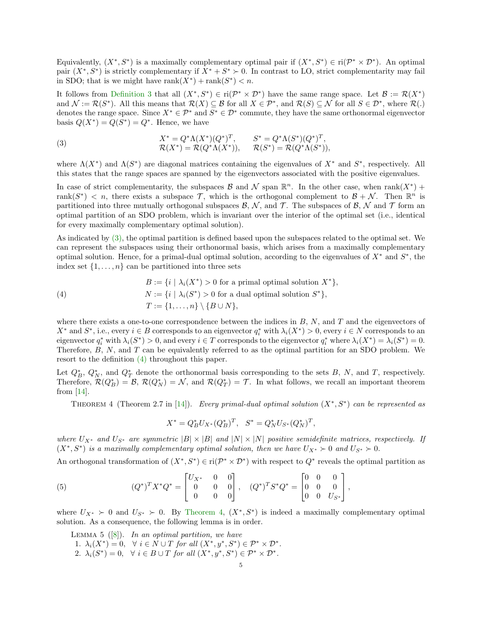Equivalently,  $(X^*, S^*)$  is a maximally complementary optimal pair if  $(X^*, S^*) \in ri(\mathcal{P}^* \times \mathcal{D}^*)$ . An optimal pair  $(X^*, S^*)$  is strictly complementary if  $X^* + S^* \succ 0$ . In contrast to LO, strict complementarity may fail in SDO; that is we might have  $rank(X^*) + rank(S^*) < n$ .

It follows from [Definition 3](#page-3-1) that all  $(X^*, S^*) \in \text{ri}(\mathcal{P}^* \times \mathcal{D}^*)$  have the same range space. Let  $\mathcal{B} := \mathcal{R}(X^*)$ and  $\mathcal{N} := \mathcal{R}(S^*)$ . All this means that  $\mathcal{R}(X) \subseteq \mathcal{B}$  for all  $X \in \mathcal{P}^*$ , and  $\mathcal{R}(S) \subseteq \mathcal{N}$  for all  $S \in \mathcal{D}^*$ , where  $\mathcal{R}(.)$ denotes the range space. Since  $X^* \in \mathcal{P}^*$  and  $S^* \in \mathcal{D}^*$  commute, they have the same orthonormal eigenvector basis  $Q(X^*) = Q(S^*) = Q^*$ . Hence, we have

<span id="page-4-0"></span>(3) 
$$
X^* = Q^* \Lambda(X^*)(Q^*)^T, \qquad S^* = Q^* \Lambda(S^*)(Q^*)^T, \mathcal{R}(X^*) = \mathcal{R}(Q^* \Lambda(X^*)), \qquad \mathcal{R}(S^*) = \mathcal{R}(Q^* \Lambda(S^*)),
$$

where  $\Lambda(X^*)$  and  $\Lambda(S^*)$  are diagonal matrices containing the eigenvalues of  $X^*$  and  $S^*$ , respectively. All this states that the range spaces are spanned by the eigenvectors associated with the positive eigenvalues.

In case of strict complementarity, the subspaces  $\mathcal B$  and  $\mathcal N$  span  $\mathbb R^n$ . In the other case, when rank $(X^*)$  + rank $(S^*)$  < n, there exists a subspace T, which is the orthogonal complement to  $\mathcal{B} + \mathcal{N}$ . Then  $\mathbb{R}^n$  is partitioned into three mutually orthogonal subspaces  $\mathcal{B}, \mathcal{N}$ , and  $\mathcal{T}$ . The subspaces of  $\mathcal{B}, \mathcal{N}$  and  $\mathcal{T}$  form an optimal partition of an SDO problem, which is invariant over the interior of the optimal set (i.e., identical for every maximally complementary optimal solution).

As indicated by [\(3\),](#page-4-0) the optimal partition is defined based upon the subspaces related to the optimal set. We can represent the subspaces using their orthonormal basis, which arises from a maximally complementary optimal solution. Hence, for a primal-dual optimal solution, according to the eigenvalues of  $X^*$  and  $S^*$ , the index set  $\{1, \ldots, n\}$  can be partitioned into three sets

<span id="page-4-1"></span>(4) 
$$
B := \{i \mid \lambda_i(X^*) > 0 \text{ for a primal optimal solution } X^*\},
$$

$$
N := \{i \mid \lambda_i(S^*) > 0 \text{ for a dual optimal solution } S^*\},
$$

$$
T := \{1, \dots, n\} \setminus \{B \cup N\},
$$

where there exists a one-to-one correspondence between the indices in  $B$ ,  $N$ , and  $T$  and the eigenvectors of  $X^*$  and  $S^*$ , i.e., every  $i \in B$  corresponds to an eigenvector  $q_i^*$  with  $\lambda_i(X^*) > 0$ , every  $i \in N$  corresponds to an eigenvector  $q_i^*$  with  $\lambda_i(S^*) > 0$ , and every  $i \in T$  corresponds to the eigenvector  $q_i^*$  where  $\lambda_i(X^*) = \lambda_i(S^*) = 0$ . Therefore, B, N, and T can be equivalently referred to as the optimal partition for an SDO problem. We resort to the definition [\(4\)](#page-4-1) throughout this paper.

Let  $Q_B^*, Q_N^*$ , and  $Q_T^*$  denote the orthonormal basis corresponding to the sets B, N, and T, respectively. Therefore,  $\mathcal{R}(Q_B^*) = \mathcal{B}$ ,  $\mathcal{R}(Q_N^*) = \mathcal{N}$ , and  $\mathcal{R}(Q_T^*) = \mathcal{T}$ . In what follows, we recall an important theorem from [\[14\]](#page-22-13).

<span id="page-4-2"></span>THEOREM 4 (Theorem 2.7 in [\[14\]](#page-22-13)). Every primal-dual optimal solution  $(X^*, S^*)$  can be represented as

$$
X^* = Q_B^* U_{X^*} (Q_B^*)^T, \quad S^* = Q_N^* U_{S^*} (Q_N^*)^T,
$$

where  $U_{X^*}$  and  $U_{S^*}$  are symmetric  $|B| \times |B|$  and  $|N| \times |N|$  positive semidefinite matrices, respectively. If  $(X^*, S^*)$  is a maximally complementary optimal solution, then we have  $U_{X^*} \succ 0$  and  $U_{S^*} \succ 0$ .

An orthogonal transformation of  $(X^*, S^*) \in \text{ri}(\mathcal{P}^* \times \mathcal{D}^*)$  with respect to  $Q^*$  reveals the optimal partition as

(5) 
$$
(Q^*)^T X^* Q^* = \begin{bmatrix} U_{X^*} & 0 & 0 \\ 0 & 0 & 0 \\ 0 & 0 & 0 \end{bmatrix}, \quad (Q^*)^T S^* Q^* = \begin{bmatrix} 0 & 0 & 0 \\ 0 & 0 & 0 \\ 0 & 0 & U_{S^*} \end{bmatrix},
$$

where  $U_{X^*} > 0$  and  $U_{S^*} > 0$ . By [Theorem 4,](#page-4-2)  $(X^*, S^*)$  is indeed a maximally complementary optimal solution. As a consequence, the following lemma is in order.

<span id="page-4-3"></span>LEMMA 5  $([8])$  $([8])$  $([8])$ . In an optimal partition, we have

- 1.  $\lambda_i(X^*) = 0, \quad \forall i \in N \cup T \text{ for all } (X^*, y^*, S^*) \in \mathcal{P}^* \times \mathcal{D}^*.$
- 2.  $\lambda_i(S^*) = 0, \quad \forall i \in B \cup T \text{ for all } (X^*, y^*, S^*) \in \mathcal{P}^* \times \mathcal{D}^*.$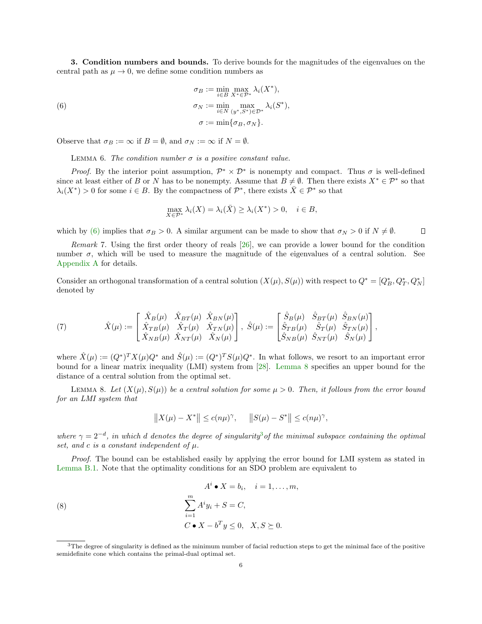<span id="page-5-0"></span>3. Condition numbers and bounds. To derive bounds for the magnitudes of the eigenvalues on the central path as  $\mu \to 0$ , we define some condition numbers as

(6) 
$$
\sigma_B := \min_{i \in B} \max_{X^* \in \mathcal{P}^*} \lambda_i(X^*),
$$

$$
\sigma_N := \min_{i \in N} \max_{(y^*, S^*) \in \mathcal{D}^*} \lambda_i(S^*),
$$

$$
\sigma := \min{\{\sigma_B, \sigma_N\}}.
$$

Observe that  $\sigma_B := \infty$  if  $B = \emptyset$ , and  $\sigma_N := \infty$  if  $N = \emptyset$ .

LEMMA 6. The condition number  $\sigma$  is a positive constant value.

*Proof.* By the interior point assumption,  $\mathcal{P}^* \times \mathcal{D}^*$  is nonempty and compact. Thus  $\sigma$  is well-defined since at least either of B or N has to be nonempty. Assume that  $B \neq \emptyset$ . Then there exists  $X^* \in \mathcal{P}^*$  so that  $\lambda_i(X^*) > 0$  for some  $i \in B$ . By the compactness of  $\mathcal{P}^*$ , there exists  $\bar{X} \in \mathcal{P}^*$  so that

<span id="page-5-1"></span>
$$
\max_{X \in \mathcal{P}^*} \lambda_i(X) = \lambda_i(\bar{X}) \ge \lambda_i(X^*) > 0, \quad i \in B,
$$

which by [\(6\)](#page-5-1) implies that  $\sigma_B > 0$ . A similar argument can be made to show that  $\sigma_N > 0$  if  $N \neq \emptyset$ .  $\Box$ 

Remark 7. Using the first order theory of reals [\[26\]](#page-22-19), we can provide a lower bound for the condition number  $\sigma$ , which will be used to measure the magnitude of the eigenvalues of a central solution. See [Appendix A](#page-17-0) for details.

Consider an orthogonal transformation of a central solution  $(X(\mu), S(\mu))$  with respect to  $Q^* = [Q_B^*, Q_T^*, Q_N^*]$ denoted by

<span id="page-5-5"></span>(7) 
$$
\hat{X}(\mu) := \begin{bmatrix} \hat{X}_B(\mu) & \hat{X}_{BT}(\mu) & \hat{X}_{BN}(\mu) \\ \hat{X}_{TB}(\mu) & \hat{X}_{T}(\mu) & \hat{X}_{TN}(\mu) \\ \hat{X}_{NB}(\mu) & \hat{X}_{NT}(\mu) & \hat{X}_N(\mu) \end{bmatrix}, \ \hat{S}(\mu) := \begin{bmatrix} \hat{S}_B(\mu) & \hat{S}_{BT}(\mu) & \hat{S}_{BN}(\mu) \\ \hat{S}_{TB}(\mu) & \hat{S}_{T}(\mu) & \hat{S}_{TN}(\mu) \\ \hat{S}_{NB}(\mu) & \hat{S}_{NT}(\mu) & \hat{S}_N(\mu) \end{bmatrix},
$$

where  $\hat{X}(\mu) := (Q^*)^T X(\mu) Q^*$  and  $\hat{S}(\mu) := (Q^*)^T S(\mu) Q^*$ . In what follows, we resort to an important error bound for a linear matrix inequality (LMI) system from [\[28\]](#page-22-12). [Lemma 8](#page-5-2) specifies an upper bound for the distance of a central solution from the optimal set.

LEMMA 8. Let  $(X(\mu), S(\mu))$  be a central solution for some  $\mu > 0$ . Then, it follows from the error bound for an LMI system that

<span id="page-5-4"></span><span id="page-5-2"></span>
$$
||X(\mu) - X^*|| \le c(n\mu)^{\gamma}, \quad ||S(\mu) - S^*|| \le c(n\mu)^{\gamma},
$$

where  $\gamma = 2^{-d}$ , in which d denotes the degree of singularity<sup>[3](#page-5-3)</sup> of the minimal subspace containing the optimal set, and c is a constant independent of  $\mu$ .

Proof. The bound can be established easily by applying the error bound for LMI system as stated in [Lemma B.1.](#page-20-0) Note that the optimality conditions for an SDO problem are equivalent to

(8)  

$$
A^{i} \bullet X = b_{i}, \quad i = 1, ..., m,
$$

$$
\sum_{i=1}^{m} A^{i} y_{i} + S = C,
$$

$$
C \bullet X - b^{T} y \leq 0, \quad X, S \succeq 0.
$$

<span id="page-5-3"></span> $3$ The degree of singularity is defined as the minimum number of facial reduction steps to get the minimal face of the positive semidefinite cone which contains the primal-dual optimal set.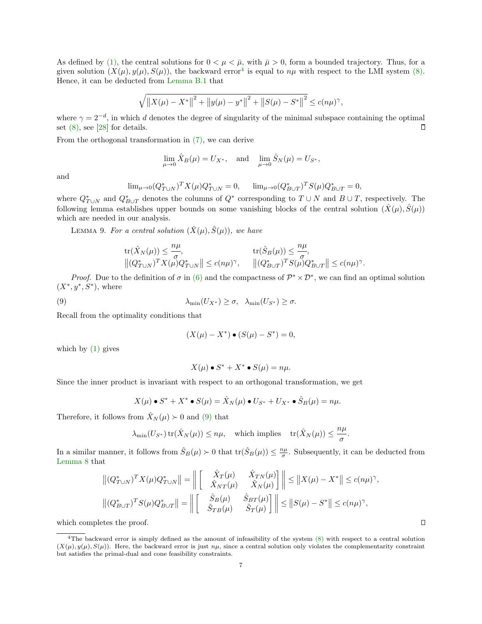As defined by [\(1\),](#page-2-0) the central solutions for  $0 < \mu < \bar{\mu}$ , with  $\bar{\mu} > 0$ , form a bounded trajectory. Thus, for a given solution  $(X(\mu), y(\mu), S(\mu))$ , the backward error<sup>[4](#page-6-0)</sup> is equal to  $n\mu$  with respect to the LMI system [\(8\).](#page-5-4) Hence, it can be deducted from [Lemma B.1](#page-20-0) that

$$
\sqrt{\left\|X(\mu) - X^*\right\|^2 + \left\|y(\mu) - y^*\right\|^2 + \left\|S(\mu) - S^*\right\|^2} \le c(n\mu)^{\gamma},
$$

where  $\gamma = 2^{-d}$ , in which d denotes the degree of singularity of the minimal subspace containing the optimal set [\(8\),](#page-5-4) see [\[28\]](#page-22-12) for details.  $\Box$ 

From the orthogonal transformation in [\(7\),](#page-5-5) we can derive

$$
\lim_{\mu \to 0} \hat{X}_B(\mu) = U_{X^*}, \text{ and } \lim_{\mu \to 0} \hat{S}_N(\mu) = U_{S^*},
$$

and

<span id="page-6-2"></span>
$$
\lim_{\mu \to 0} (Q_{T \cup N}^*)^T X(\mu) Q_{T \cup N}^* = 0, \qquad \lim_{\mu \to 0} (Q_{B \cup T}^*)^T S(\mu) Q_{B \cup T}^* = 0,
$$

where  $Q_{T\cup N}^*$  and  $Q_{B\cup T}^*$  denotes the columns of  $Q^*$  corresponding to  $T\cup N$  and  $B\cup T$ , respectively. The following lemma establishes upper bounds on some vanishing blocks of the central solution  $(\hat{X}(\mu), \hat{S}(\mu))$ which are needed in our analysis.

LEMMA 9. For a central solution  $(\hat{X}(\mu), \hat{S}(\mu))$ , we have

$$
\begin{array}{ll} \displaystyle \text{tr}(\hat{X}_N(\mu))\leq \frac{n\mu}{\sigma}, & \displaystyle \text{tr}(\hat{S}_B(\mu))\leq \frac{n\mu}{\sigma},\\ \left\|(Q_{T\cup N}^*)^TX(\mu)Q_{T\cup N}^*\right\|\leq c(n\mu)^{\gamma}, & \left\|(Q_{B\cup T}^*)^TS(\mu)Q_{B\cup T}^*\right\|\leq c(n\mu)^{\gamma}. \end{array}
$$

*Proof.* Due to the definition of  $\sigma$  in [\(6\)](#page-5-1) and the compactness of  $\mathcal{P}^* \times \mathcal{D}^*$ , we can find an optimal solution  $(X^*, y^*, S^*)$ , where

(9) 
$$
\lambda_{\min}(U_{X^*}) \geq \sigma, \quad \lambda_{\min}(U_{S^*}) \geq \sigma.
$$

Recall from the optimality conditions that

<span id="page-6-1"></span>
$$
(X(\mu) - X^*) \bullet (S(\mu) - S^*) = 0,
$$

which by  $(1)$  gives

$$
X(\mu) \bullet S^* + X^* \bullet S(\mu) = n\mu.
$$

Since the inner product is invariant with respect to an orthogonal transformation, we get

$$
X(\mu) \bullet S^* + X^* \bullet S(\mu) = \hat{X}_N(\mu) \bullet U_{S^*} + U_{X^*} \bullet \hat{S}_B(\mu) = n\mu.
$$

Therefore, it follows from  $\hat{X}_N(\mu) > 0$  and [\(9\)](#page-6-1) that

$$
\lambda_{\min}(U_{S^*})\operatorname{tr}(\hat{X}_N(\mu))\leq n\mu,\quad\text{which implies}\quad \operatorname{tr}(\hat{X}_N(\mu))\leq \frac{n\mu}{\sigma}.
$$

In a similar manner, it follows from  $\hat{S}_B(\mu) > 0$  that  $\text{tr}(\hat{S}_B(\mu)) \leq \frac{n\mu}{\sigma}$ . Subsequently, it can be deducted from [Lemma 8](#page-5-2) that

$$
\left\| \left(Q_{T\cup N}^* \right)^T X(\mu) Q_{T\cup N}^* \right\| = \left\| \begin{bmatrix} \hat{X}_T(\mu) & \hat{X}_{TN}(\mu) \\ \hat{X}_{NT}(\mu) & \hat{X}_N(\mu) \end{bmatrix} \right\| \le \left\| X(\mu) - X^* \right\| \le c(n\mu)^{\gamma},
$$
  

$$
\left\| \left(Q_{B\cup T}^* \right)^T S(\mu) Q_{B\cup T}^* \right\| = \left\| \begin{bmatrix} \hat{S}_B(\mu) & \hat{S}_{BT}(\mu) \\ \hat{S}_{TB}(\mu) & \hat{S}_T(\mu) \end{bmatrix} \right\| \le \left\| S(\mu) - S^* \right\| \le c(n\mu)^{\gamma},
$$

which completes the proof.

<span id="page-6-0"></span><sup>&</sup>lt;sup>4</sup>The backward error is simply defined as the amount of infeasibility of the system  $(8)$  with respect to a central solution  $(X(\mu), y(\mu), S(\mu))$ . Here, the backward error is just  $n\mu$ , since a central solution only violates the complementarity constraint but satisfies the primal-dual and cone feasibility constraints.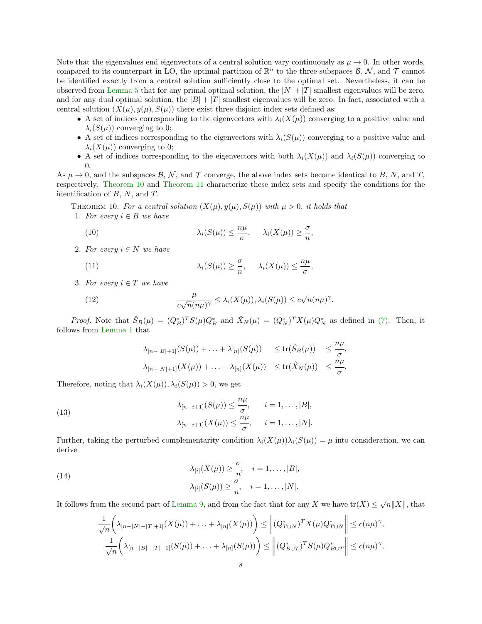Note that the eigenvalues end eigenvectors of a central solution vary continuously as  $\mu \to 0$ . In other words, compared to its counterpart in LO, the optimal partition of  $\mathbb{R}^n$  to the three subspaces  $\mathcal{B}, \mathcal{N}$ , and  $\mathcal{T}$  cannot be identified exactly from a central solution sufficiently close to the optimal set. Nevertheless, it can be observed from [Lemma 5](#page-4-3) that for any primal optimal solution, the  $|N|+|T|$  smallest eigenvalues will be zero, and for any dual optimal solution, the  $|B| + |T|$  smallest eigenvalues will be zero. In fact, associated with a central solution  $(X(\mu), y(\mu), S(\mu))$  there exist three disjoint index sets defined as:

- A set of indices corresponding to the eigenvectors with  $\lambda_i(X(\mu))$  converging to a positive value and  $\lambda_i(S(\mu))$  converging to 0;
- A set of indices corresponding to the eigenvectors with  $\lambda_i(S(\mu))$  converging to a positive value and  $\lambda_i(X(\mu))$  converging to 0;
- A set of indices corresponding to the eigenvectors with both  $\lambda_i(X(\mu))$  and  $\lambda_i(S(\mu))$  converging to 0.

,

As  $\mu \to 0$ , and the subspaces  $\mathcal{B}, \mathcal{N}$ , and  $\mathcal{T}$  converge, the above index sets become identical to  $B, N$ , and  $T$ , respectively. [Theorem 10](#page-7-0) and [Theorem 11](#page-8-1) characterize these index sets and specify the conditions for the identification of  $B$ ,  $N$ , and  $T$ .

THEOREM 10. For a central solution  $(X(\mu), y(\mu), S(\mu))$  with  $\mu > 0$ , it holds that 1. For every  $i \in B$  we have

<span id="page-7-3"></span><span id="page-7-0"></span>(10) 
$$
\lambda_i(S(\mu)) \leq \frac{n\mu}{\sigma}, \quad \lambda_i(X(\mu)) \geq \frac{\sigma}{n}
$$

2. For every  $i \in N$  we have

(11) 
$$
\lambda_i(S(\mu)) \geq \frac{\sigma}{n}, \quad \lambda_i(X(\mu)) \leq \frac{n\mu}{\sigma},
$$

3. For every  $i \in T$  we have

(12) 
$$
\frac{\mu}{c\sqrt{n}(n\mu)^{\gamma}} \leq \lambda_i(X(\mu)), \lambda_i(S(\mu)) \leq c\sqrt{n}(n\mu)^{\gamma}.
$$

*Proof.* Note that  $\hat{S}_B(\mu) = (Q_B^*)^T S(\mu) Q_B^*$  and  $\hat{X}_N(\mu) = (Q_N^*)^T X(\mu) Q_N^*$  as defined in [\(7\).](#page-5-5) Then, it follows from [Lemma 1](#page-3-2) that

<span id="page-7-5"></span><span id="page-7-4"></span><span id="page-7-1"></span>
$$
\lambda_{[n-|B|+1]}(S(\mu)) + \ldots + \lambda_{[n]}(S(\mu)) \le \text{tr}(\hat{S}_B(\mu)) \le \frac{n\mu}{\sigma},
$$
  

$$
\lambda_{[n-|N|+1]}(X(\mu)) + \ldots + \lambda_{[n]}(X(\mu)) \le \text{tr}(\hat{X}_N(\mu)) \le \frac{n\mu}{\sigma}.
$$

Therefore, noting that  $\lambda_i(X(\mu))$ ,  $\lambda_i(S(\mu)) > 0$ , we get

(13) 
$$
\lambda_{[n-i+1]}(S(\mu)) \leq \frac{n\mu}{\sigma}, \quad i = 1, \dots, |B|,
$$

$$
\lambda_{[n-i+1]}(X(\mu)) \leq \frac{n\mu}{\sigma}, \quad i = 1, \dots, |N|.
$$

Further, taking the perturbed complementarity condition  $\lambda_i(X(\mu))\lambda_i(S(\mu)) = \mu$  into consideration, we can derive

(14)  
\n
$$
\lambda_{[i]}(X(\mu)) \geq \frac{\sigma}{n}, \quad i = 1, \dots, |B|,
$$
\n
$$
\lambda_{[i]}(S(\mu)) \geq \frac{\sigma}{n}, \quad i = 1, \dots, |N|.
$$

It follows from the second part of [Lemma 9,](#page-6-2) and from the fact that for any X we have  $\text{tr}(X) \leq \sqrt{n} ||X||$ , that

<span id="page-7-2"></span>
$$
\frac{1}{\sqrt{n}} \left( \lambda_{[n-|N|-|T|+1]}(X(\mu)) + \ldots + \lambda_{[n]}(X(\mu)) \right) \leq \left\| (Q_{T\cup N}^*)^T X(\mu) Q_{T\cup N}^* \right\| \leq c(n\mu)^{\gamma},
$$
  

$$
\frac{1}{\sqrt{n}} \left( \lambda_{[n-|B|-|T|+1]}(S(\mu)) + \ldots + \lambda_{[n]}(S(\mu)) \right) \leq \left\| (Q_{B\cup T}^*)^T S(\mu) Q_{B\cup T}^* \right\| \leq c(n\mu)^{\gamma},
$$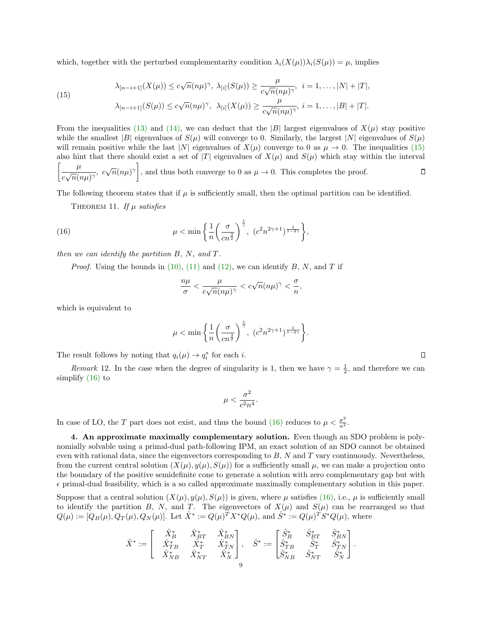which, together with the perturbed complementarity condition  $\lambda_i(X(\mu))\lambda_i(S(\mu)) = \mu$ , implies

<span id="page-8-2"></span>(15) 
$$
\lambda_{[n-i+1]}(X(\mu)) \le c\sqrt{n}(n\mu)^{\gamma}, \ \lambda_{[i]}(S(\mu)) \ge \frac{\mu}{c\sqrt{n}(n\mu)^{\gamma}}, \ \ i = 1, \dots, |N| + |T|,
$$

$$
\lambda_{[n-i+1]}(S(\mu)) \le c\sqrt{n}(n\mu)^{\gamma}, \ \lambda_{[i]}(X(\mu)) \ge \frac{\mu}{c\sqrt{n}(n\mu)^{\gamma}}, \ i = 1, \dots, |B| + |T|.
$$

From the inequalities [\(13\)](#page-7-1) and [\(14\),](#page-7-2) we can deduct that the |B| largest eigenvalues of  $X(\mu)$  stay positive while the smallest |B| eigenvalues of  $S(\mu)$  will converge to 0. Similarly, the largest |N| eigenvalues of  $S(\mu)$ will remain positive while the last |N| eigenvalues of  $X(\mu)$  converge to 0 as  $\mu \to 0$ . The inequalities [\(15\)](#page-8-2) also hint that there should exist a set of |T| eigenvalues of  $X(\mu)$  and  $S(\mu)$  which stay within the interval  $\lceil \quad \mu$  $\frac{\mu}{c\sqrt{n}(n\mu)^{\gamma}}$ ,  $c\sqrt{n}(n\mu)^{\gamma}$ , and thus both converge to 0 as  $\mu \to 0$ . This completes the proof. О

The following theorem states that if  $\mu$  is sufficiently small, then the optimal partition can be identified.

THEOREM 11. If  $\mu$  satisfies

(16) 
$$
\mu < \min \left\{ \frac{1}{n} \left( \frac{\sigma}{cn^{\frac{3}{2}}} \right)^{\frac{1}{\gamma}}, \ (c^2 n^{2\gamma+1})^{\frac{1}{1-2\gamma}} \right\},
$$

then we can identify the partition  $B$ ,  $N$ , and  $T$ .

*Proof.* Using the bounds in [\(10\),](#page-7-3) [\(11\)](#page-7-4) and [\(12\),](#page-7-5) we can identify B, N, and T if

<span id="page-8-3"></span>
$$
\frac{n\mu}{\sigma} < \frac{\mu}{c\sqrt{n}(n\mu)^{\gamma}} < c\sqrt{n}(n\mu)^{\gamma} < \frac{\sigma}{n},
$$

which is equivalent to

$$
\mu < \min \left\{ \frac{1}{n} \left( \frac{\sigma}{cn^{\frac{3}{2}}} \right)^{\frac{1}{\gamma}}, \left( c^2 n^{2\gamma + 1} \right)^{\frac{1}{1 - 2\gamma}} \right\}.
$$

The result follows by noting that  $q_i(\mu) \to q_i^*$  for each *i*.

*Remark* 12. In the case when the degree of singularity is 1, then we have  $\gamma = \frac{1}{2}$ , and therefore we can simplify [\(16\)](#page-8-3) to

$$
\mu < \frac{\sigma^2}{c^2n^4}.
$$

In case of LO, the T part does not exist, and thus the bound [\(16\)](#page-8-3) reduces to  $\mu < \frac{\sigma^2}{n^2}$ .

<span id="page-8-0"></span>4. An approximate maximally complementary solution. Even though an SDO problem is polynomially solvable using a primal-dual path-following IPM, an exact solution of an SDO cannot be obtained even with rational data, since the eigenvectors corresponding to  $B$ ,  $N$  and  $T$  vary continuously. Nevertheless, from the current central solution  $(X(\mu), y(\mu), S(\mu))$  for a sufficiently small  $\mu$ , we can make a projection onto the boundary of the positive semidefinite cone to generate a solution with zero complementary gap but with  $\epsilon$  primal-dual feasibility, which is a so called approximate maximally complementary solution in this paper.

Suppose that a central solution  $(X(\mu), y(\mu), S(\mu))$  is given, where  $\mu$  satisfies [\(16\),](#page-8-3) i.e.,  $\mu$  is sufficiently small to identify the partition B, N, and T. The eigenvectors of  $X(\mu)$  and  $S(\mu)$  can be rearranged so that  $Q(\mu) := [Q_B(\mu), Q_T(\mu), Q_N(\mu)].$  Let  $\hat{X}^* := Q(\mu)^T X^* Q(\mu)$ , and  $\hat{S}^* := Q(\mu)^T S^* Q(\mu)$ , where

$$
\hat{X}^* := \left[\begin{array}{ccc} \hat{X}_B^* & \hat{X}_{BT}^* & \hat{X}_{BN}^* \\ \hat{X}_{TB}^* & \hat{X}_{T}^* & \hat{X}_{TN}^* \\ \hat{X}_{NB}^* & \hat{X}_{NT}^* & \hat{X}_{N}^* \end{array}\right], \quad \hat{S}^* := \begin{bmatrix} \hat{S}_B^* & \hat{S}_{BT}^* & \hat{S}_{BN}^* \\ \hat{S}_{TB}^* & \hat{S}_{T}^* & \hat{S}_{TN}^* \\ \hat{S}_{NB}^* & \hat{S}_{NT}^* & \hat{S}_{N}^* \end{bmatrix}.
$$

<span id="page-8-1"></span>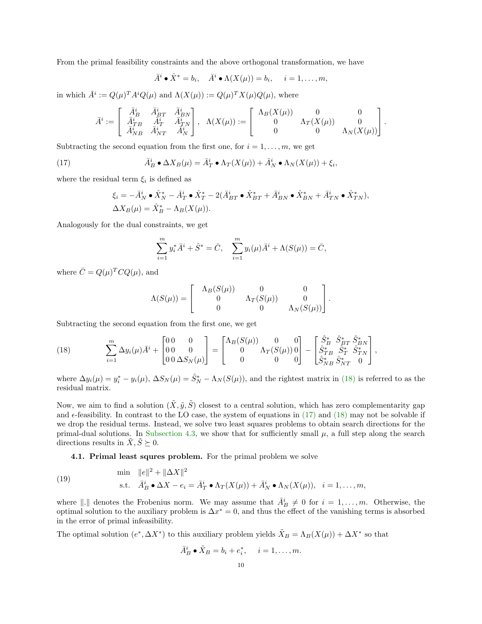From the primal feasibility constraints and the above orthogonal transformation, we have

$$
\bar{A}^i \bullet \hat{X}^* = b_i, \quad \bar{A}^i \bullet \Lambda(X(\mu)) = b_i, \quad i = 1, \dots, m,
$$

in which  $\bar{A}^i := Q(\mu)^T A^i Q(\mu)$  and  $\Lambda(X(\mu)) := Q(\mu)^T X(\mu) Q(\mu)$ , where

$$
\bar{A}^i:=\left[\begin{array}{ccc} \bar{A}^i_B & \bar{A}^i_{BT} & \bar{A}^i_{BN} \\ \bar{A}^i_{TB} & \bar{A}^i_T & \bar{A}^i_{TN} \\ \bar{A}^i_{NB} & \bar{A}^i_{NT} & \bar{A}^i_N \end{array}\right],\;\; \Lambda(X(\mu)):=\left[\begin{array}{ccc} \Lambda_B(X(\mu)) & 0 & 0 \\ 0 & \Lambda_T(X(\mu)) & 0 \\ 0 & 0 & \Lambda_N(X(\mu)) \end{array}\right].
$$

Subtracting the second equation from the first one, for  $i = 1, \ldots, m$ , we get

(17) 
$$
\bar{A}_B^i \bullet \Delta X_B(\mu) = \bar{A}_T^i \bullet \Lambda_T(X(\mu)) + \bar{A}_N^i \bullet \Lambda_N(X(\mu)) + \xi_i,
$$

where the residual term  $\xi_i$  is defined as

<span id="page-9-1"></span>
$$
\xi_i = -\overline{A}_{N}^i \bullet \hat{X}_{N}^* - \overline{A}_{T}^i \bullet \hat{X}_{T}^* - 2(\overline{A}_{BT}^i \bullet \hat{X}_{BT}^* + \overline{A}_{BN}^i \bullet \hat{X}_{BN}^* + \overline{A}_{TN}^i \bullet \hat{X}_{TN}^*),
$$
  

$$
\Delta X_B(\mu) = \hat{X}_{B}^* - \Lambda_B(X(\mu)).
$$

Analogously for the dual constraints, we get

$$
\sum_{i=1}^{m} y_i^* \bar{A}^i + \hat{S}^* = \bar{C}, \quad \sum_{i=1}^{m} y_i(\mu) \bar{A}^i + \Lambda(S(\mu)) = \bar{C},
$$

where  $\overline{C} = Q(\mu)^T C Q(\mu)$ , and

$$
\Lambda(S(\mu)) = \begin{bmatrix} \Lambda_B(S(\mu)) & 0 & 0 \\ 0 & \Lambda_T(S(\mu)) & 0 \\ 0 & 0 & \Lambda_N(S(\mu)) \end{bmatrix}.
$$

Subtracting the second equation from the first one, we get

<span id="page-9-0"></span>(18) 
$$
\sum_{i=1}^{m} \Delta y_i(\mu) \bar{A}^i + \begin{bmatrix} 0 & 0 & 0 \\ 0 & 0 & 0 \\ 0 & 0 & \Delta S_N(\mu) \end{bmatrix} = \begin{bmatrix} \Lambda_B(S(\mu)) & 0 & 0 \\ 0 & \Lambda_T(S(\mu)) & 0 \\ 0 & 0 & 0 \end{bmatrix} - \begin{bmatrix} \hat{S}_B^* & \hat{S}_B^* & \hat{S}_{BN}^* \\ \hat{S}_{TB}^* & \hat{S}_T^* & \hat{S}_{TN}^* \\ \hat{S}_{NB}^* & \hat{S}_{NT}^* & 0 \end{bmatrix},
$$

where  $\Delta y_i(\mu) = y_i^* - y_i(\mu)$ ,  $\Delta S_N(\mu) = \hat{S}_N^* - \Lambda_N(S(\mu))$ , and the rightest matrix in [\(18\)](#page-9-0) is referred to as the residual matrix.

Now, we aim to find a solution  $(\tilde{X}, \tilde{y}, \tilde{S})$  closest to a central solution, which has zero complementarity gap and  $\epsilon$ -feasibility. In contrast to the LO case, the system of equations in [\(17\)](#page-9-1) and [\(18\)](#page-9-0) may not be solvable if we drop the residual terms. Instead, we solve two least squares problems to obtain search directions for the primal-dual solutions. In [Subsection 4.3,](#page-13-0) we show that for sufficiently small  $\mu$ , a full step along the search directions results in  $\tilde{X}, \tilde{S} \succeq 0$ .

<span id="page-9-2"></span>4.1. Primal least squres problem. For the primal problem we solve

A¯i

(19) 
$$
\min \quad ||e||^2 + ||\Delta X||^2
$$
  
s.t. 
$$
\bar{A}_B^i \bullet \Delta X - e_i = \bar{A}_T^i \bullet \Lambda_T(X(\mu)) + \bar{A}_N^i \bullet \Lambda_N(X(\mu)), \quad i = 1, ..., m,
$$

where  $\|.\|$  denotes the Frobenius norm. We may assume that  $\bar{A}_{B}^{i} \neq 0$  for  $i = 1, ..., m$ . Otherwise, the optimal solution to the auxiliary problem is  $\Delta x^* = 0$ , and thus the effect of the vanishing terms is absorbed in the error of primal infeasibility.

The optimal solution  $(e^*, \Delta X^*)$  to this auxiliary problem yields  $\tilde{X}_B = \Lambda_B(X(\mu)) + \Delta X^*$  so that

$$
\tilde{A}_B^i \bullet \tilde{X}_B = b_i + e_i^*, \quad i = 1, \dots, m.
$$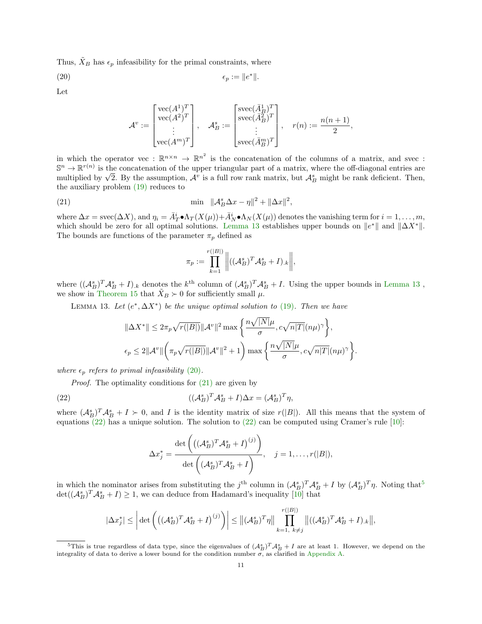Thus,  $\tilde{X}_B$  has  $\epsilon_p$  infeasibility for the primal constraints, where

$$
\epsilon_p := \|e^*\|.
$$

Let

<span id="page-10-1"></span>
$$
\mathcal{A}^v:=\begin{bmatrix} \text{vec}(A^1)^T\\ \text{vec}(A^2)^T\\ \vdots\\ \text{vec}(A^m)^T \end{bmatrix}, \quad \mathcal{A}_B^s:=\begin{bmatrix} \text{succ}(\bar{A}_B^1)^T\\ \text{succ}(\bar{A}_B^2)^T\\ \vdots\\ \text{succ}(\bar{A}_B^m)^T \end{bmatrix}, \quad r(n):=\frac{n(n+1)}{2},
$$

in which the operator vec :  $\mathbb{R}^{n \times n} \to \mathbb{R}^{n^2}$  is the concatenation of the columns of a matrix, and svec :  $\mathbb{S}^n \to \mathbb{R}^{r(n)}$  is the concatenation of the upper triangular part of a matrix, where the off-diagonal entries are  $S^{\alpha} \to \mathbb{R}^{N \setminus N}$  is the concatenation of the upper triangular part of a matrix, where the off-diagonal entries are multiplied by  $\sqrt{2}$ . By the assumption,  $\mathcal{A}^{v}$  is a full row rank matrix, but  $\mathcal{A}_{B}^{s}$  m the auxiliary problem [\(19\)](#page-9-2) reduces to

$$
\min \quad \|\mathcal{A}_B^s \Delta x - \eta\|^2 + \|\Delta x\|^2,
$$

where  $\Delta x = \text{spec}(\Delta X)$ , and  $\eta_i = \bar{A}_T^i \cdot \Lambda_T(X(\mu)) + \bar{A}_N^i \cdot \Lambda_N(X(\mu))$  denotes the vanishing term for  $i = 1, \ldots, m$ , which should be zero for all optimal solutions. [Lemma 13](#page-10-0) establishes upper bounds on  $||e^*||$  and  $||\Delta X^*||$ . The bounds are functions of the parameter  $\pi_p$  defined as

<span id="page-10-2"></span><span id="page-10-0"></span>
$$
\pi_p := \prod_{k=1}^{r(|B|)} \left\| ((\mathcal{A}_B^s)^T \mathcal{A}_B^s + I)_{\cdot,k} \right\|,
$$

where  $((A_B^s)^T A_B^s + I)_k$  denotes the  $k^{\text{th}}$  column of  $(A_B^s)^T A_B^s + I$ . Using the upper bounds in [Lemma 13](#page-10-0), we show in [Theorem 15](#page-13-1) that  $\tilde{X}_B \succ 0$  for sufficiently small  $\mu$ .

LEMMA 13. Let  $(e^*, \Delta X^*)$  be the unique optimal solution to [\(19\)](#page-9-2). Then we have

$$
\|\Delta X^*\| \leq 2\pi_p \sqrt{r(|B|)} \|\mathcal{A}^v\|^2 \max\left\{\frac{n\sqrt{|N|}\mu}{\sigma}, c\sqrt{n|T|}(n\mu)^{\gamma}\right\},\
$$

$$
\epsilon_p \leq 2\|\mathcal{A}^v\|\left(\pi_p \sqrt{r(|B|)} \|\mathcal{A}^v\|^2 + 1\right) \max\left\{\frac{n\sqrt{|N|}\mu}{\sigma}, c\sqrt{n|T|}(n\mu)^{\gamma}\right\}.
$$

where  $\epsilon_p$  refers to primal infeasibility [\(20\)](#page-10-1).

Proof. The optimality conditions for  $(21)$  are given by

(22) 
$$
((\mathcal{A}_B^s)^T \mathcal{A}_B^s + I)\Delta x = (\mathcal{A}_B^s)^T \eta,
$$

where  $(A_B^s)^T A_B^s + I \succ 0$ , and I is the identity matrix of size  $r(|B|)$ . All this means that the system of equations  $(22)$  has a unique solution. The solution to  $(22)$  can be computed using Cramer's rule [\[10\]](#page-21-11):

<span id="page-10-3"></span>
$$
\Delta x_j^* = \frac{\det\left(\left((\mathcal{A}_B^s)^T \mathcal{A}_B^s + I\right)^{(j)}\right)}{\det\left((\mathcal{A}_B^s)^T \mathcal{A}_B^s + I\right)}, \quad j = 1, \dots, r(|B|),
$$

in which the nominator arises from substituting the j<sup>th</sup> column in  $(\mathcal{A}_{B}^{s})^{T} \mathcal{A}_{B}^{s} + I$  by  $(\mathcal{A}_{B}^{s})^{T} \eta$ . Noting that<sup>[5](#page-10-4)</sup>  $\det((\mathcal{A}_{B}^{s})^{T}\mathcal{A}_{B}^{s}+I)\geq 1$ , we can deduce from Hadamard's inequality [\[10\]](#page-21-11) that

$$
|\Delta x_j^*| \leq \left| \det \left( \left( (\mathcal{A}_B^s)^T \mathcal{A}_B^s + I \right)^{(j)} \right) \right| \leq ||(\mathcal{A}_B^s)^T \eta|| \prod_{k=1, \, k \neq j}^{r(|B|)} ||((\mathcal{A}_B^s)^T \mathcal{A}_B^s + I)_{\cdot k} ||,
$$

<span id="page-10-4"></span><sup>&</sup>lt;sup>5</sup>This is true regardless of data type, since the eigenvalues of  $(A_B^s)^T A_B^s + I$  are at least 1. However, we depend on the integrality of data to derive a lower bound for the condition number  $\sigma$ , as clarified in Appendi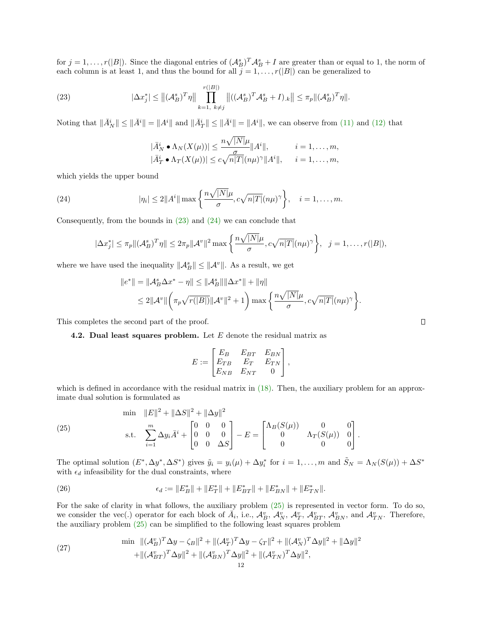for  $j = 1, \ldots, r(|B|)$ . Since the diagonal entries of  $(A_B^s)^T A_B^s + I$  are greater than or equal to 1, the norm of each column is at least 1, and thus the bound for all  $j = 1, \ldots, r(|B|)$  can be generalized to

(23) 
$$
|\Delta x_j^*| \le ||(\mathcal{A}_B^s)^T \eta|| \prod_{k=1, k \ne j}^{r(|B|)} ||((\mathcal{A}_B^s)^T \mathcal{A}_B^s + I)_k|| \le \pi_p ||(\mathcal{A}_B^s)^T \eta||.
$$

Noting that  $\|\bar{A}_{N}^{i}\| \leq \|\bar{A}^{i}\| = \|A^{i}\|$  and  $\|\bar{A}_{T}^{i}\| \leq \|\bar{A}^{i}\| = \|A^{i}\|$ , we can observe from [\(11\)](#page-7-4) and [\(12\)](#page-7-5) that

<span id="page-11-1"></span><span id="page-11-0"></span>
$$
|\bar{A}_N^i \bullet \Lambda_N(X(\mu))| \leq \frac{n\sqrt{|N|}\mu}{\sigma} ||A^i||, \qquad i = 1, \dots, m,
$$
  

$$
|\bar{A}_T^i \bullet \Lambda_T(X(\mu))| \leq c\sqrt{n|T|}(n\mu)^{\gamma} ||A^i||, \qquad i = 1, \dots, m,
$$

which yields the upper bound

(24) 
$$
|\eta_i| \leq 2||A^i|| \max\left\{\frac{n\sqrt{|N|}\mu}{\sigma}, c\sqrt{n|T|}(n\mu)^{\gamma}\right\}, \quad i = 1, \dots, m.
$$

Consequently, from the bounds in [\(23\)](#page-11-0) and [\(24\)](#page-11-1) we can conclude that

$$
|\Delta x_j^*| \le \pi_p ||(\mathcal{A}_B^s)^T \eta|| \le 2\pi_p ||\mathcal{A}^v||^2 \max \left\{ \frac{n\sqrt{|N|}\mu}{\sigma}, c\sqrt{n|T|}(n\mu)^\gamma \right\}, \quad j=1,\ldots,r(|B|),
$$

where we have used the inequality  $||\mathcal{A}_{B}^{s}|| \leq ||\mathcal{A}^{v}||$ . As a result, we get

$$
||e^*|| = ||A_B^s \Delta x^* - \eta|| \le ||A_B^s|| ||\Delta x^*|| + ||\eta||
$$
  
\n
$$
\le 2||A^v|| \left( \pi_p \sqrt{r(|B|)} ||A^v||^2 + 1 \right) \max \left\{ \frac{n\sqrt{|N|} \mu}{\sigma}, c\sqrt{n|T|} (n\mu)^{\gamma} \right\}.
$$

This completes the second part of the proof.

#### **4.2. Dual least squares problem.** Let  $E$  denote the residual matrix as

$$
E:=\begin{bmatrix} E_B & E_{BT} & E_{BN} \\ E_{TB} & E_T & E_{TN} \\ E_{NB} & E_{NT} & 0 \end{bmatrix},
$$

which is defined in accordance with the residual matrix in  $(18)$ . Then, the auxiliary problem for an approximate dual solution is formulated as

<span id="page-11-2"></span>(25) 
$$
\begin{aligned}\n\min \quad & \|E\|^2 + \|\Delta S\|^2 + \|\Delta y\|^2 \\
\text{s.t.} \quad & \sum_{i=1}^m \Delta y_i \bar{A}^i + \begin{bmatrix} 0 & 0 & 0 \\ 0 & 0 & 0 \\ 0 & 0 & \Delta S \end{bmatrix} - E = \begin{bmatrix} \Lambda_B(S(\mu)) & 0 & 0 \\ 0 & \Lambda_T(S(\mu)) & 0 \\ 0 & 0 & 0 \end{bmatrix}.\n\end{aligned}
$$

The optimal solution  $(E^*, \Delta y^*, \Delta S^*)$  gives  $\tilde{y}_i = y_i(\mu) + \Delta y_i^*$  for  $i = 1, ..., m$  and  $\tilde{S}_N = \Lambda_N(S(\mu)) + \Delta S^*$ with  $\epsilon_d$  infeasibility for the dual constraints, where

(26) 
$$
\epsilon_d := \|E_B^*\| + \|E_T^*\| + \|E_{BT}^*\| + \|E_{BN}^*\| + \|E_{TN}^*\|.
$$

For the sake of clarity in what follows, the auxiliary problem [\(25\)](#page-11-2) is represented in vector form. To do so, we consider the vec(.) operator for each block of  $\overline{A}_i$ , i.e.,  $\mathcal{A}_{B}^v$ ,  $\mathcal{A}_{N}^v$ ,  $\mathcal{A}_{T}^v$ ,  $\mathcal{A}_{BT}^v$ ,  $\mathcal{A}_{BN}^v$ , and  $\mathcal{A}_{TN}^v$ . Therefore, the auxiliary problem [\(25\)](#page-11-2) can be simplified to the following least squares problem

<span id="page-11-3"></span>(27) 
$$
\min \|(\mathcal{A}_{B}^{v})^{T} \Delta y - \zeta_{B} \|^{2} + \|(\mathcal{A}_{T}^{v})^{T} \Delta y - \zeta_{T} \|^{2} + \|(\mathcal{A}_{N}^{v})^{T} \Delta y \|^{2} + \| \Delta y \|^{2} + \|(\mathcal{A}_{BT}^{v})^{T} \Delta y \|^{2} + \|(\mathcal{A}_{BN}^{v})^{T} \Delta y \|^{2} + \|(\mathcal{A}_{TN}^{v})^{T} \Delta y \|^{2},
$$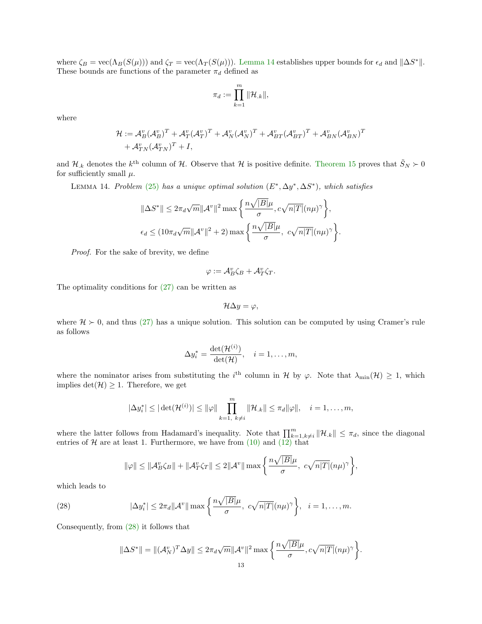where  $\zeta_B = \text{vec}(\Lambda_B(S(\mu)))$  and  $\zeta_T = \text{vec}(\Lambda_T(S(\mu)))$ . [Lemma 14](#page-12-0) establishes upper bounds for  $\epsilon_d$  and  $\|\Delta S^*\|$ . These bounds are functions of the parameter  $\pi_d$  defined as

$$
\pi_d:=\prod_{k=1}^m\|\mathcal{H}_{.k}\|,
$$

where

$$
\mathcal{H} := \mathcal{A}_{B}^{v}(\mathcal{A}_{B}^{v})^{T} + \mathcal{A}_{T}^{v}(\mathcal{A}_{T}^{v})^{T} + \mathcal{A}_{N}^{v}(\mathcal{A}_{N}^{v})^{T} + \mathcal{A}_{BT}^{v}(\mathcal{A}_{BT}^{v})^{T} + \mathcal{A}_{BN}^{v}(\mathcal{A}_{BN}^{v})^{T} + \mathcal{A}_{TN}^{v}(\mathcal{A}_{TN}^{v})^{T} + I,
$$

and  $\mathcal{H}_k$  denotes the  $k^{\text{th}}$  column of  $\mathcal{H}$ . Observe that  $\mathcal{H}$  is positive definite. [Theorem 15](#page-13-1) proves that  $\tilde{S}_N \succ 0$ for sufficiently small  $\mu$ .

LEMMA 14. Problem [\(25\)](#page-11-2) has a unique optimal solution  $(E^*, \Delta y^*, \Delta S^*)$ , which satisfies

<span id="page-12-0"></span>
$$
\|\Delta S^*\| \le 2\pi_d \sqrt{m} \|\mathcal{A}^v\|^2 \max\left\{\frac{n\sqrt{|B|}\mu}{\sigma}, c\sqrt{n|T|}(n\mu)^{\gamma}\right\},\
$$

$$
\epsilon_d \le (10\pi_d \sqrt{m} \|\mathcal{A}^v\|^2 + 2) \max\left\{\frac{n\sqrt{|B|}\mu}{\sigma}, c\sqrt{n|T|}(n\mu)^{\gamma}\right\}.
$$

Proof. For the sake of brevity, we define

$$
\varphi:=\mathcal{A}_{B}^{v}\zeta_{B}+\mathcal{A}_{T}^{v}\zeta_{T}.
$$

The optimality conditions for [\(27\)](#page-11-3) can be written as

$$
\mathcal{H}\Delta y=\varphi,
$$

where  $\mathcal{H} \succ 0$ , and thus [\(27\)](#page-11-3) has a unique solution. This solution can be computed by using Cramer's rule as follows

$$
\Delta y_i^* = \frac{\det(\mathcal{H}^{(i)})}{\det(\mathcal{H})}, \quad i = 1, \dots, m,
$$

where the nominator arises from substituting the i<sup>th</sup> column in H by  $\varphi$ . Note that  $\lambda_{\min}(\mathcal{H}) \geq 1$ , which implies  $det(\mathcal{H}) \geq 1$ . Therefore, we get

$$
|\Delta y_i^*| \leq |\det(\mathcal{H}^{(i)})| \leq ||\varphi|| \prod_{k=1, k\neq i}^m ||\mathcal{H}_{.k}|| \leq \pi_d ||\varphi||, \quad i=1,\ldots,m,
$$

where the latter follows from Hadamard's inequality. Note that  $\prod_{k=1,k\neq i}^{m} ||\mathcal{H}_{.k}|| \leq \pi_d$ , since the diagonal entries of  $H$  are at least 1. Furthermore, we have from  $(10)$  and  $(12)$  that

$$
\|\varphi\| \le \|\mathcal{A}_{B}^{v}\zeta_{B}\| + \|\mathcal{A}_{T}^{v}\zeta_{T}\| \le 2\|\mathcal{A}^{v}\| \max\left\{\frac{n\sqrt{|B|}\mu}{\sigma}, c\sqrt{n|T|}(n\mu)^{\gamma}\right\},\
$$

which leads to

(28) 
$$
|\Delta y_i^*| \leq 2\pi_d ||\mathcal{A}^v|| \max\left\{\frac{n\sqrt{|B|}\mu}{\sigma}, c\sqrt{n|T|}(n\mu)^\gamma\right\}, \quad i=1,\ldots,m.
$$

Consequently, from [\(28\)](#page-12-1) it follows that

<span id="page-12-1"></span>
$$
\|\Delta S^*\| = \|(\mathcal{A}_N^v)^T \Delta y\| \le 2\pi_d \sqrt{m} \|\mathcal{A}^v\|^2 \max\left\{\frac{n\sqrt{|B|}\mu}{\sigma}, c\sqrt{n|T|}(n\mu)^\gamma\right\}.
$$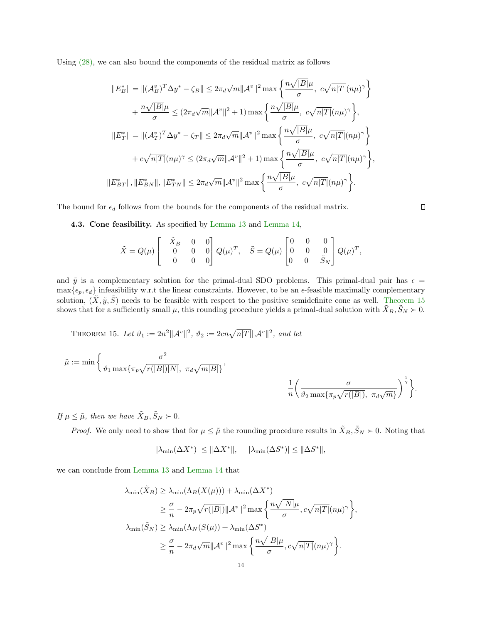Using [\(28\),](#page-12-1) we can also bound the components of the residual matrix as follows

$$
||E_B^*|| = ||(\mathcal{A}_B^v)^T \Delta y^* - \zeta_B|| \le 2\pi_d \sqrt{m} ||\mathcal{A}^v||^2 \max \left\{ \frac{n\sqrt{|B|}\mu}{\sigma}, c\sqrt{n|T|}(n\mu)^{\gamma} \right\} + \frac{n\sqrt{|B|}\mu}{\sigma} \le (2\pi_d \sqrt{m} ||\mathcal{A}^v||^2 + 1) \max \left\{ \frac{n\sqrt{|B|}\mu}{\sigma}, c\sqrt{n|T|}(n\mu)^{\gamma} \right\},
$$
  

$$
||E_T^*|| = ||(\mathcal{A}_T^v)^T \Delta y^* - \zeta_T || \le 2\pi_d \sqrt{m} ||\mathcal{A}^v||^2 \max \left\{ \frac{n\sqrt{|B|}\mu}{\sigma}, c\sqrt{n|T|}(n\mu)^{\gamma} \right\} + c\sqrt{n|T|}(n\mu)^{\gamma} \le (2\pi_d \sqrt{m} ||\mathcal{A}^v||^2 + 1) \max \left\{ \frac{n\sqrt{|B|}\mu}{\sigma}, c\sqrt{n|T|}(n\mu)^{\gamma} \right\},
$$
  

$$
||E_{BT}^*||, ||E_{BN}^*||, ||E_{TN}^*|| \le 2\pi_d \sqrt{m} ||\mathcal{A}^v||^2 \max \left\{ \frac{n\sqrt{|B|}\mu}{\sigma}, c\sqrt{n|T|}(n\mu)^{\gamma} \right\}.
$$

The bound for  $\epsilon_d$  follows from the bounds for the components of the residual matrix.

<span id="page-13-0"></span>4.3. Cone feasibility. As specified by [Lemma 13](#page-10-0) and [Lemma 14,](#page-12-0)

$$
\tilde{X}=Q(\mu)\left[\begin{array}{ccc} \tilde{X}_B & 0 & 0 \\ 0 & 0 & 0 \\ 0 & 0 & 0 \end{array}\right]Q(\mu)^T,\quad \tilde{S}=Q(\mu)\left[\begin{array}{ccc} 0 & 0 & 0 \\ 0 & 0 & 0 \\ 0 & 0 & \tilde{S}_N \end{array}\right]Q(\mu)^T,
$$

and  $\tilde{y}$  is a complementary solution for the primal-dual SDO problems. This primal-dual pair has  $\epsilon =$  $\max{\epsilon_p, \epsilon_d}$  infeasibility w.r.t the linear constraints. However, to be an  $\epsilon$ -feasible maximally complementary solution,  $(\tilde{X}, \tilde{y}, \tilde{S})$  needs to be feasible with respect to the positive semidefinite cone as well. [Theorem 15](#page-13-1) shows that for a sufficiently small  $\mu$ , this rounding procedure yields a primal-dual solution with  $\tilde{X}_B, \tilde{S}_N \succ 0$ .

<span id="page-13-1"></span>THEOREM 15. Let 
$$
\vartheta_1 := 2n^2 ||A^v||^2
$$
,  $\vartheta_2 := 2cn\sqrt{n|T|} ||A^v||^2$ , and let

$$
\tilde{\mu}:=\min\bigg\{\frac{\sigma^2}{\vartheta_1\max\{\pi_p\sqrt{r(|B|)|N|},\ \pi_d\sqrt{m|B|}\}},\qquad \qquad \frac{1}{n}\bigg(\frac{\sigma}{\vartheta_2\max\{\pi_p\sqrt{r(|B|)},\ \pi_d\sqrt{m}\}}\bigg)^{\frac{1}{\gamma}}\bigg\}.
$$

If  $\mu \leq \tilde{\mu}$ , then we have  $\tilde{X}_B, \tilde{S}_N \succ 0$ .

*Proof.* We only need to show that for  $\mu \leq \tilde{\mu}$  the rounding procedure results in  $\tilde{X}_B, \tilde{S}_N \succ 0$ . Noting that

$$
|\lambda_{\min}(\Delta X^*)| \leq \|\Delta X^*\|, \quad \ |\lambda_{\min}(\Delta S^*)| \leq \|\Delta S^*\|,
$$

we can conclude from [Lemma 13](#page-10-0) and [Lemma 14](#page-12-0) that

$$
\lambda_{\min}(\tilde{X}_B) \geq \lambda_{\min}(\Lambda_B(X(\mu))) + \lambda_{\min}(\Delta X^*)
$$
  
\n
$$
\geq \frac{\sigma}{n} - 2\pi_p \sqrt{r(|B|)} ||\mathcal{A}^v||^2 \max \left\{ \frac{n\sqrt{|N|}\mu}{\sigma}, c\sqrt{n|T|}(n\mu)^{\gamma} \right\},
$$
  
\n
$$
\lambda_{\min}(\tilde{S}_N) \geq \lambda_{\min}(\Lambda_N(S(\mu)) + \lambda_{\min}(\Delta S^*)
$$
  
\n
$$
\geq \frac{\sigma}{n} - 2\pi_d \sqrt{m} ||\mathcal{A}^v||^2 \max \left\{ \frac{n\sqrt{|B|}\mu}{\sigma}, c\sqrt{n|T|}(n\mu)^{\gamma} \right\}.
$$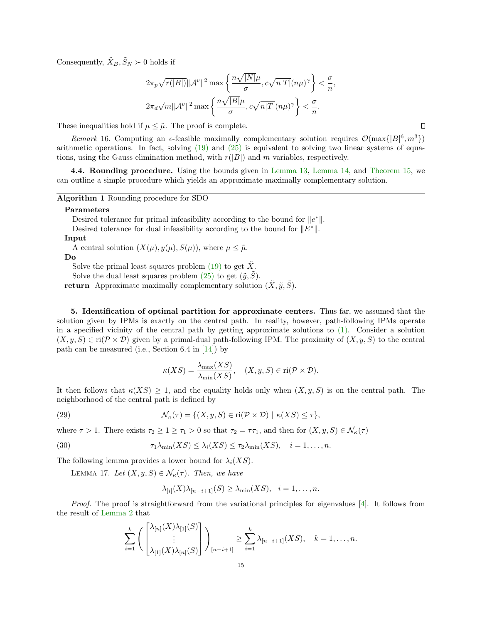Consequently,  $\tilde{X}_B, \tilde{S}_N \succ 0$  holds if

$$
2\pi_p\sqrt{r(|B|)}||\mathcal{A}^v||^2 \max\left\{\frac{n\sqrt{|N|}\mu}{\sigma}, c\sqrt{n|T|}(n\mu)^{\gamma}\right\} < \frac{\sigma}{n},
$$
  

$$
2\pi_d\sqrt{m}||\mathcal{A}^v||^2 \max\left\{\frac{n\sqrt{|B|}\mu}{\sigma}, c\sqrt{n|T|}(n\mu)^{\gamma}\right\} < \frac{\sigma}{n}.
$$

These inequalities hold if  $\mu \leq \tilde{\mu}$ . The proof is complete.

Remark 16. Computing an  $\epsilon$ -feasible maximally complementary solution requires  $\mathcal{O}(\max\{|B|^6, m^3\})$ arithmetic operations. In fact, solving [\(19\)](#page-9-2) and [\(25\)](#page-11-2) is equivalent to solving two linear systems of equations, using the Gauss elimination method, with  $r(|B|)$  and m variables, respectively.

4.4. Rounding procedure. Using the bounds given in [Lemma 13,](#page-10-0) [Lemma 14,](#page-12-0) and [Theorem 15,](#page-13-1) we can outline a simple procedure which yields an approximate maximally complementary solution.

| Algorithm 1 Rounding procedure for SDO |  |  |  |  |  |  |
|----------------------------------------|--|--|--|--|--|--|
|----------------------------------------|--|--|--|--|--|--|

#### Parameters

Desired tolerance for primal infeasibility according to the bound for  $||e^*||$ .

Desired tolerance for dual infeasibility according to the bound for  $||E^*||$ .

#### Input

A central solution  $(X(\mu), y(\mu), S(\mu))$ , where  $\mu \leq \tilde{\mu}$ .

Do

Solve the primal least squares problem [\(19\)](#page-9-2) to get  $\tilde{X}$ .

Solve the dual least squares problem [\(25\)](#page-11-2) to get  $(\tilde{y}, \tilde{S})$ .

**return** Approximate maximally complementary solution  $(\tilde{X}, \tilde{y}, \tilde{S})$ .

<span id="page-14-0"></span>5. Identification of optimal partition for approximate centers. Thus far, we assumed that the solution given by IPMs is exactly on the central path. In reality, however, path-following IPMs operate in a specified vicinity of the central path by getting approximate solutions to  $(1)$ . Consider a solution  $(X, y, S) \in \text{ri}(\mathcal{P} \times \mathcal{D})$  given by a primal-dual path-following IPM. The proximity of  $(X, y, S)$  to the central path can be measured (i.e., Section 6.4 in  $[14]$ ) by

<span id="page-14-3"></span>
$$
\kappa(XS) = \frac{\lambda_{\max}(XS)}{\lambda_{\min}(XS)}, \quad (X, y, S) \in \text{ri}(\mathcal{P} \times \mathcal{D}).
$$

It then follows that  $\kappa(XS) \geq 1$ , and the equality holds only when  $(X, y, S)$  is on the central path. The neighborhood of the central path is defined by

(29) 
$$
\mathcal{N}_{\kappa}(\tau) = \{ (X, y, S) \in \text{ri}(\mathcal{P} \times \mathcal{D}) \mid \kappa(XS) \leq \tau \},
$$

where  $\tau > 1$ . There exists  $\tau_2 \geq 1 \geq \tau_1 > 0$  so that  $\tau_2 = \tau \tau_1$ , and then for  $(X, y, S) \in \mathcal{N}_{\kappa}(\tau)$ 

(30) 
$$
\tau_1 \lambda_{\min}(XS) \leq \lambda_i(XS) \leq \tau_2 \lambda_{\min}(XS), \quad i = 1, \ldots, n.
$$

The following lemma provides a lower bound for  $\lambda_i(XS)$ .

LEMMA 17. Let  $(X, y, S) \in \mathcal{N}_{\kappa}(\tau)$ . Then, we have

<span id="page-14-2"></span><span id="page-14-1"></span>
$$
\lambda_{[i]}(X)\lambda_{[n-i+1]}(S) \geq \lambda_{\min}(XS), \quad i=1,\ldots,n.
$$

Proof. The proof is straightforward from the variational principles for eigenvalues [\[4\]](#page-21-10). It follows from the result of [Lemma 2](#page-3-3) that

$$
\sum_{i=1}^k \left( \begin{bmatrix} \lambda_{[n]}(X) \lambda_{[1]}(S) \\ \vdots \\ \lambda_{[1]}(X) \lambda_{[n]}(S) \end{bmatrix} \right)_{[n-i+1]} \geq \sum_{i=1}^k \lambda_{[n-i+1]}(XS), \quad k = 1, \dots, n.
$$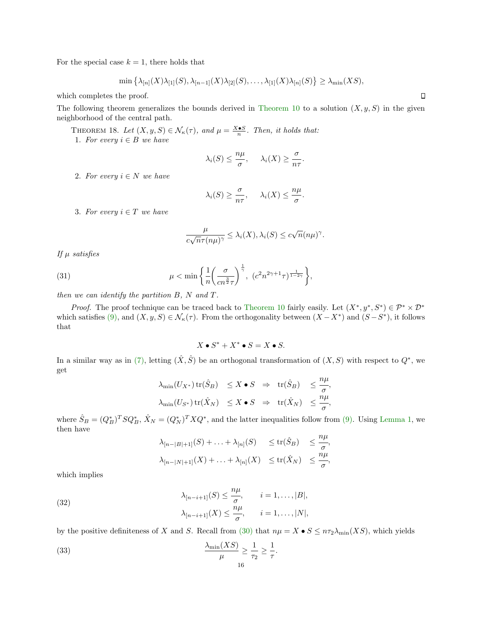For the special case  $k = 1$ , there holds that

$$
\min \left\{ \lambda_{[n]}(X)\lambda_{[1]}(S), \lambda_{[n-1]}(X)\lambda_{[2]}(S), \ldots, \lambda_{[1]}(X)\lambda_{[n]}(S) \right\} \geq \lambda_{\min}(XS),
$$

which completes the proof.

The following theorem generalizes the bounds derived in [Theorem 10](#page-7-0) to a solution  $(X, y, S)$  in the given neighborhood of the central path.

THEOREM 18. Let  $(X, y, S) \in \mathcal{N}_{\kappa}(\tau)$ , and  $\mu = \frac{X \cdot S}{n}$ . Then, it holds that: 1. For every  $i \in B$  we have

$$
\lambda_i(S) \leq \frac{n\mu}{\sigma}, \quad \lambda_i(X) \geq \frac{\sigma}{n\tau}.
$$

2. For every  $i \in N$  we have

$$
\lambda_i(S) \ge \frac{\sigma}{n\tau}, \quad \lambda_i(X) \le \frac{n\mu}{\sigma}.
$$

3. For every  $i \in T$  we have

<span id="page-15-2"></span>
$$
\frac{\mu}{c\sqrt{n}\tau(n\mu)^{\gamma}} \leq \lambda_i(X), \lambda_i(S) \leq c\sqrt{n}(n\mu)^{\gamma}.
$$

If  $\mu$  satisfies

(31) 
$$
\mu < \min \left\{ \frac{1}{n} \left( \frac{\sigma}{cn^{\frac{3}{2}} \tau} \right)^{\frac{1}{\gamma}}, \ (c^2 n^{2\gamma + 1} \tau)^{\frac{1}{1 - 2\gamma}} \right\},
$$

then we can identify the partition  $B$ ,  $N$  and  $T$ .

*Proof.* The proof technique can be traced back to [Theorem 10](#page-7-0) fairly easily. Let  $(X^*, y^*, S^*) \in \mathcal{P}^* \times \mathcal{D}^*$ which satisfies [\(9\),](#page-6-1) and  $(X, y, S) \in \mathcal{N}_{\kappa}(\tau)$ . From the orthogonality between  $(X - X^*)$  and  $(S - S^*)$ , it follows that

$$
X \bullet S^* + X^* \bullet S = X \bullet S.
$$

In a similar way as in [\(7\),](#page-5-5) letting  $(\hat{X}, \hat{S})$  be an orthogonal transformation of  $(X, S)$  with respect to  $Q^*$ , we get

$$
\lambda_{\min}(U_{X^*}) \operatorname{tr}(\hat{S}_B) \le X \bullet S \Rightarrow \operatorname{tr}(\hat{S}_B) \le \frac{n\mu}{\sigma},
$$
  

$$
\lambda_{\min}(U_{S^*}) \operatorname{tr}(\hat{X}_N) \le X \bullet S \Rightarrow \operatorname{tr}(\hat{X}_N) \le \frac{n\mu}{\sigma},
$$

where  $\hat{S}_B = (Q_B^*)^T S Q_B^*, \hat{X}_N = (Q_N^*)^T X Q^*,$  and the latter inequalities follow from [\(9\).](#page-6-1) Using [Lemma 1,](#page-3-2) we then have

<span id="page-15-1"></span><span id="page-15-0"></span>
$$
\lambda_{[n-|B|+1]}(S) + \ldots + \lambda_{[n]}(S) \le \text{tr}(\hat{S}_B) \le \frac{n\mu}{\sigma}
$$
  

$$
\lambda_{[n-|N|+1]}(X) + \ldots + \lambda_{[n]}(X) \le \text{tr}(\hat{X}_N) \le \frac{n\mu}{\sigma}
$$

,

,

which implies

(32) 
$$
\lambda_{[n-i+1]}(S) \leq \frac{n\mu}{\sigma}, \qquad i = 1, \dots, |B|,
$$

$$
\lambda_{[n-i+1]}(X) \leq \frac{n\mu}{\sigma}, \qquad i = 1, \dots, |N|,
$$

by the positive definiteness of X and S. Recall from [\(30\)](#page-14-1) that  $n\mu = X \bullet S \leq n\tau_2\lambda_{\min}(XS)$ , which yields

(33) 
$$
\frac{\lambda_{\min}(XS)}{\mu} \ge \frac{1}{\tau_2} \ge \frac{1}{\tau}.
$$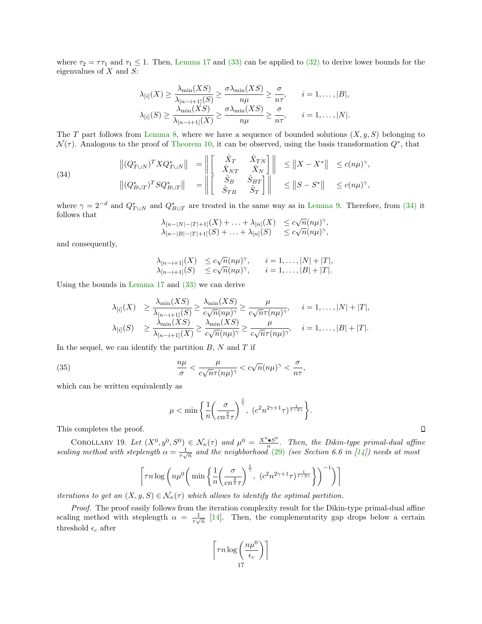where  $\tau_2 = \tau \tau_1$  and  $\tau_1 \leq 1$ . Then, [Lemma 17](#page-14-2) and [\(33\)](#page-15-0) can be applied to [\(32\)](#page-15-1) to derive lower bounds for the eigenvalues of  $X$  and  $S$ :

$$
\lambda_{[i]}(X) \ge \frac{\lambda_{\min}(XS)}{\lambda_{[n-i+1]}(S)} \ge \frac{\sigma \lambda_{\min}(XS)}{n\mu} \ge \frac{\sigma}{n\tau}, \qquad i = 1, \dots, |B|,
$$
  

$$
\lambda_{[i]}(S) \ge \frac{\lambda_{\min}(XS)}{\lambda_{[n-i+1]}(X)} \ge \frac{\sigma \lambda_{\min}(XS)}{n\mu} \ge \frac{\sigma}{n\tau}, \qquad i = 1, \dots, |N|.
$$

The T part follows from [Lemma 8,](#page-5-2) where we have a sequence of bounded solutions  $(X, y, S)$  belonging to  $\mathcal{N}(\tau)$ . Analogous to the proof of [Theorem 10,](#page-7-0) it can be observed, using the basis transformation  $Q^*$ , that

<span id="page-16-0"></span>(34)  

$$
\left\| (Q_{T\cup N}^*)^T X Q_{T\cup N}^* \right\| = \left\| \begin{bmatrix} \hat{X}_T & \hat{X}_{TN} \\ \hat{X}_{NT} & \hat{X}_N \end{bmatrix} \right\| \leq \left\| X - X^* \right\| \leq c(n\mu)^{\gamma},
$$

$$
\left\| (Q_{B\cup T}^*)^T S Q_{B\cup T}^* \right\| = \left\| \begin{bmatrix} \hat{S}_B & \hat{S}_{BT} \\ \hat{S}_{TB} & \hat{S}_T \end{bmatrix} \right\| \leq \left\| S - S^* \right\| \leq c(n\mu)^{\gamma},
$$

where  $\gamma = 2^{-d}$  and  $Q_{T \cup N}^*$  and  $Q_{B \cup T}^*$  are treated in the same way as in [Lemma 9.](#page-6-2) Therefore, from [\(34\)](#page-16-0) it follows that √

$$
\begin{array}{ll}\lambda_{[n-|N|-|T|+1]}(X)+\ldots+\lambda_{[n]}(X)&\leq c\sqrt{n}(n\mu)^{\gamma},\\ \lambda_{[n-|B|-|T|+1]}(S)+\ldots+\lambda_{[n]}(S)&\leq c\sqrt{n}(n\mu)^{\gamma},\end{array}
$$

and consequently,

$$
\lambda_{[n-i+1]}(X) \le c\sqrt{n}(n\mu)^{\gamma}, \quad i = 1, \dots, |N| + |T|,
$$
  

$$
\lambda_{[n-i+1]}(S) \le c\sqrt{n}(n\mu)^{\gamma}, \quad i = 1, \dots, |B| + |T|.
$$

Using the bounds in [Lemma 17](#page-14-2) and [\(33\)](#page-15-0) we can derive

$$
\lambda_{[i]}(X) \geq \frac{\lambda_{\min}(XS)}{\lambda_{[n-i+1]}(S)} \geq \frac{\lambda_{\min}(XS)}{c\sqrt{n}(n\mu)^{\gamma}} \geq \frac{\mu}{c\sqrt{n}\tau(n\mu)^{\gamma}}, \quad i = 1, ..., |N| + |T|,
$$
  

$$
\lambda_{[i]}(S) \geq \frac{\lambda_{\min}(XS)}{\lambda_{[n-i+1]}(X)} \geq \frac{\lambda_{\min}(XS)}{c\sqrt{n}(n\mu)^{\gamma}} \geq \frac{\mu}{c\sqrt{n}\tau(n\mu)^{\gamma}}, \quad i = 1, ..., |B| + |T|.
$$

In the sequel, we can identify the partition  $B$ ,  $N$  and  $T$  if

(35) 
$$
\frac{n\mu}{\sigma} < \frac{\mu}{c\sqrt{n}\tau(n\mu)^{\gamma}} < c\sqrt{n}(n\mu)^{\gamma} < \frac{\sigma}{n\tau},
$$

which can be written equivalently as

$$
\mu < \min \left\{ \frac{1}{n} \left( \frac{\sigma}{cn^{\frac{3}{2}} \tau} \right)^{\frac{1}{\gamma}}, \left( c^2 n^{2\gamma + 1} \tau \right)^{\frac{1}{1 - 2\gamma}} \right\}.
$$

This completes the proof.

COROLLARY 19. Let  $(X^0, y^0, S^0) \in \mathcal{N}_{\kappa}(\tau)$  and  $\mu^0 = \frac{X^0 \bullet S^0}{n}$  $\frac{\bullet S^{\circ}}{n}$ . Then, the Dikin-type primal-dual affine scaling method with steplength  $\alpha = \frac{1}{\tau\sqrt{n}}$  and the neighborhood [\(29\)](#page-14-3) (see Section 6.6 in [\[14\]](#page-22-13)) needs at most

$$
\left\lceil \tau n \log \left( n \mu^0 \left( \min \left\{ \frac{1}{n} \left( \frac{\sigma}{c n^{\frac{3}{2}} \tau} \right)^{\frac{1}{\gamma}}, \left( c^2 n^{2\gamma + 1} \tau \right)^{\frac{1}{1 - 2\gamma}} \right\} \right)^{-1} \right) \right\rceil
$$

iterations to get an  $(X, y, S) \in \mathcal{N}_{\kappa}(\tau)$  which allows to identify the optimal partition.

Proof. The proof easily follows from the iteration complexity result for the Dikin-type primal-dual affine scaling method with steplength  $\alpha = \frac{1}{\tau \sqrt{n}}$  [\[14\]](#page-22-13). Then, the complementarity gap drops below a certain threshold  $\epsilon_c$  after

$$
\left\lceil \tau n \log \left( \frac{n\mu^0}{\epsilon_c} \right) \right\rceil
$$
17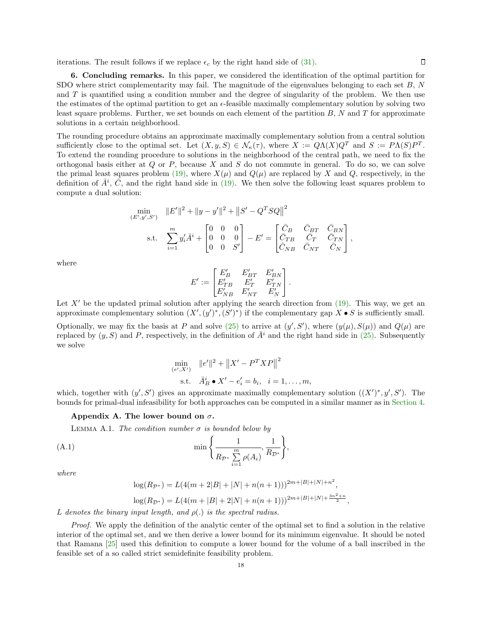iterations. The result follows if we replace  $\epsilon_c$  by the right hand side of [\(31\).](#page-15-2)

6. Concluding remarks. In this paper, we considered the identification of the optimal partition for SDO where strict complementarity may fail. The magnitude of the eigenvalues belonging to each set B, N and  $T$  is quantified using a condition number and the degree of singularity of the problem. We then use the estimates of the optimal partition to get an  $\epsilon$ -feasible maximally complementary solution by solving two least square problems. Further, we set bounds on each element of the partition  $B$ ,  $N$  and  $T$  for approximate solutions in a certain neighborhood.

The rounding procedure obtains an approximate maximally complementary solution from a central solution sufficiently close to the optimal set. Let  $(X, y, S) \in \mathcal{N}_{\kappa}(\tau)$ , where  $X := Q\Lambda(X)Q^T$  and  $S := P\Lambda(S)P^T$ . To extend the rounding procedure to solutions in the neighborhood of the central path, we need to fix the orthogonal basis either at  $Q$  or  $P$ , because  $X$  and  $S$  do not commute in general. To do so, we can solve the primal least squares problem [\(19\),](#page-9-2) where  $X(\mu)$  and  $Q(\mu)$  are replaced by X and Q, respectively, in the definition of  $\bar{A}^i$ ,  $\bar{C}$ , and the right hand side in [\(19\).](#page-9-2) We then solve the following least squares problem to compute a dual solution:

$$
\min_{(E',y',S')} \quad ||E'||^2 + ||y - y'||^2 + ||S' - Q^T S Q||^2
$$
\n
$$
\text{s.t.} \quad \sum_{i=1}^m y_i' \bar{A}^i + \begin{bmatrix} 0 & 0 & 0 \\ 0 & 0 & 0 \\ 0 & 0 & S' \end{bmatrix} - E' = \begin{bmatrix} \bar{C}_B & \bar{C}_{BT} & \bar{C}_{BN} \\ \bar{C}_{TB} & \bar{C}_T & \bar{C}_{TN} \\ \bar{C}_{NB} & \bar{C}_{NT} & \bar{C}_N \end{bmatrix},
$$

where

$$
E' := \begin{bmatrix} E'_B & E'_{BT} & E'_{BN} \\ E'_{TB} & E'_T & E'_{TN} \\ E'_{NB} & E'_{NT} & E'_N \end{bmatrix}.
$$

Let  $X'$  be the updated primal solution after applying the search direction from [\(19\).](#page-9-2) This way, we get an approximate complementary solution  $(X', (y')^*, (S')^*)$  if the complementary gap  $X \bullet S$  is sufficiently small. Optionally, we may fix the basis at P and solve [\(25\)](#page-11-2) to arrive at  $(y', S')$ , where  $(y(\mu), S(\mu))$  and  $Q(\mu)$  are replaced by  $(y, S)$  and P, respectively, in the definition of  $\bar{A}^i$  and the right hand side in [\(25\).](#page-11-2) Subsequently we solve

$$
\min_{(e', X')} \|e'\|^2 + \|X' - P^T X P\|^2
$$
\ns.t.

\n
$$
\bar{A}_B^i \bullet X' - e_i' = b_i, \quad i = 1, \dots, m,
$$

which, together with  $(y', S')$  gives an approximate maximally complementary solution  $((X')^*, y', S')$ . The bounds for primal-dual infeasibility for both approaches can be computed in a similar manner as in [Section 4.](#page-8-0)

#### <span id="page-17-0"></span>Appendix A. The lower bound on  $\sigma$ .

LEMMA A.1. The condition number  $\sigma$  is bounded below by

(A.1) 
$$
\min\left\{\frac{1}{R_{\mathcal{P}^*}\sum_{i=1}^m \rho(A_i)}, \frac{1}{R_{\mathcal{D}^*}}\right\},\
$$

where

$$
log(R_{\mathcal{P}^*}) = L(4(m+2|B|+|N|+n(n+1)))^{2m+|B|+|N|+n^2},
$$
  

$$
log(R_{\mathcal{D}^*}) = L(4(m+|B|+2|N|+n(n+1)))^{2m+|B|+|N|+\frac{3n^2+n}{2}},
$$

L denotes the binary input length, and  $\rho(.)$  is the spectral radius.

Proof. We apply the definition of the analytic center of the optimal set to find a solution in the relative interior of the optimal set, and we then derive a lower bound for its minimum eigenvalue. It should be noted that Ramana [\[25\]](#page-22-20) used this definition to compute a lower bound for the volume of a ball inscribed in the feasible set of a so called strict semidefinite feasibility problem.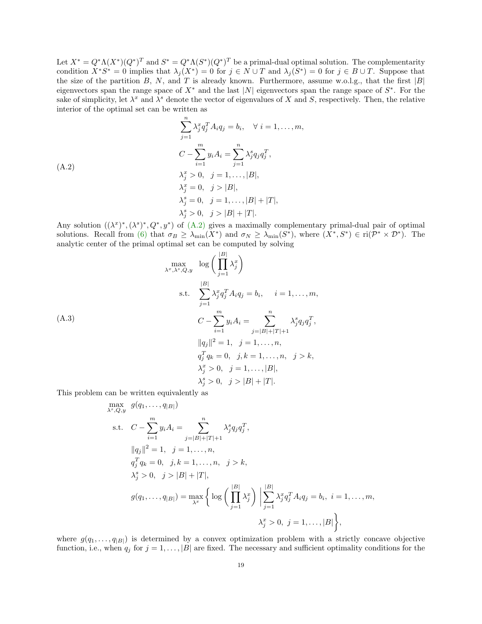Let  $X^* = Q^* \Lambda (X^*) (Q^*)^T$  and  $S^* = Q^* \Lambda (S^*) (Q^*)^T$  be a primal-dual optimal solution. The complementarity condition  $X^*S^* = 0$  implies that  $\lambda_j(X^*) = 0$  for  $j \in N \cup T$  and  $\lambda_j(S^*) = 0$  for  $j \in B \cup T$ . Suppose that the size of the partition  $B, N$ , and T is already known. Furthermore, assume w.o.l.g., that the first  $|B|$ eigenvectors span the range space of  $X^*$  and the last |N| eigenvectors span the range space of  $S^*$ . For the sake of simplicity, let  $\lambda^x$  and  $\lambda^s$  denote the vector of eigenvalues of X and S, respectively. Then, the relative interior of the optimal set can be written as

<span id="page-18-0"></span>
$$
\sum_{j=1}^{n} \lambda_j^x q_j^T A_i q_j = b_i, \quad \forall \ i = 1, \dots, m,
$$

$$
C - \sum_{i=1}^{m} y_i A_i = \sum_{j=1}^{n} \lambda_j^s q_j q_j^T,
$$

$$
\lambda_j^x > 0, \quad j = 1, \dots, |B|,
$$

$$
\lambda_j^x = 0, \quad j > |B|,
$$

$$
\lambda_j^s = 0, \quad j = 1, \dots, |B| + |T|,
$$

$$
\lambda_j^s > 0, \quad j > |B| + |T|.
$$

(A.2)

Any solution  $((\lambda^x)^*, (\lambda^s)^*, Q^*, y^*)$  of  $(A.2)$  gives a maximally complementary primal-dual pair of optimal solutions. Recall from [\(6\)](#page-5-1) that  $\sigma_B \geq \lambda_{\min}(X^*)$  and  $\sigma_N \geq \lambda_{\min}(S^*)$ , where  $(X^*, S^*) \in \text{ri}(\mathcal{P}^* \times \mathcal{D}^*)$ . The analytic center of the primal optimal set can be computed by solving

(A.3)

\n
$$
\max_{\lambda^{x},\lambda^{s},Q,y} \log \left( \prod_{j=1}^{|B|} \lambda_{j}^{x} \right)
$$
\n
$$
\text{s.t. } \sum_{j=1}^{|B|} \lambda_{j}^{x} q_{j}^{T} A_{i} q_{j} = b_{i}, \quad i = 1, \ldots, m,
$$
\n
$$
C - \sum_{i=1}^{m} y_{i} A_{i} = \sum_{j=|B|+|T|+1}^{n} \lambda_{j}^{s} q_{j} q_{j}^{T},
$$
\n
$$
\|q_{j}\|^{2} = 1, \quad j = 1, \ldots, n,
$$
\n
$$
q_{j}^{T} q_{k} = 0, \quad j, k = 1, \ldots, n, \quad j > k,
$$
\n
$$
\lambda_{j}^{x} > 0, \quad j = 1, \ldots, |B|,
$$
\n
$$
\lambda_{j}^{s} > 0, \quad j > |B| + |T|.
$$

This problem can be written equivalently as

<span id="page-18-1"></span>
$$
\max_{\lambda^s, Q, y} g(q_1, ..., q_{|B|})
$$
\ns.t.  $C - \sum_{i=1}^m y_i A_i = \sum_{j=|B|+|T|+1}^{n} \lambda_j^s q_j q_j^T$ ,  
\n
$$
||q_j||^2 = 1, \quad j = 1, ..., n, \quad q_j^T q_k = 0, \quad j, k = 1, ..., n, \quad j > k, \quad \lambda_j^s > 0, \quad j > |B| + |T|,
$$
\n
$$
g(q_1, ..., q_{|B|}) = \max_{\lambda^x} \left\{ \log \left( \prod_{j=1}^{|B|} \lambda_j^x \right) \middle| \sum_{j=1}^{|B|} \lambda_j^x q_j^T A_i q_j = b_i, \quad i = 1, ..., m, \quad \lambda_j^x > 0, \quad j = 1, ..., |B| \right\},
$$

where  $g(q_1, \ldots, q_{|B|})$  is determined by a convex optimization problem with a strictly concave objective function, i.e., when  $q_j$  for  $j = 1, ..., |B|$  are fixed. The necessary and sufficient optimality conditions for the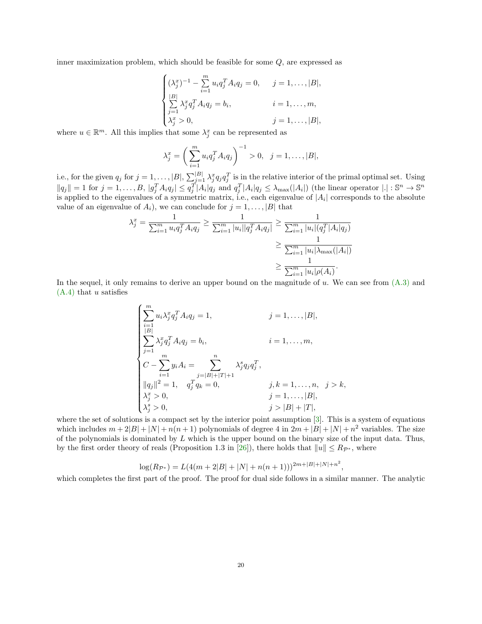inner maximization problem, which should be feasible for some Q, are expressed as

<span id="page-19-0"></span>
$$
\begin{cases}\n(\lambda_j^x)^{-1} - \sum_{i=1}^m u_i q_j^T A_i q_j = 0, & j = 1, ..., |B|, \\
\sum_{j=1}^{|B|} \lambda_j^x q_j^T A_i q_j = b_i, & i = 1, ..., m, \\
\lambda_j^x > 0, & j = 1, ..., |B|,\n\end{cases}
$$

where  $u \in \mathbb{R}^m$ . All this implies that some  $\lambda_j^x$  can be represented as

$$
\lambda_j^x = \left(\sum_{i=1}^m u_i q_j^T A_i q_j\right)^{-1} > 0, \ \ j = 1, \dots, |B|,
$$

i.e., for the given  $q_j$  for  $j = 1, \ldots, |B|$ ,  $\sum_{j=1}^{|B|} \lambda_j^x q_j q_j^T$  is in the relative interior of the primal optimal set. Using  $||q_j|| = 1$  for  $j = 1, ..., B, |g_j^T A_i q_j| \le q_j^T |A_i| q_j$  and  $q_j^T |A_i| q_j \le \lambda_{\max}(|A_i|)$  (the linear operator  $|.|: \mathbb{S}^n \to \mathbb{S}^n$ is applied to the eigenvalues of a symmetric matrix, i.e., each eigenvalue of  $|A_i|$  corresponds to the absolute value of an eigenvalue of  $A_i$ ), we can conclude for  $j = 1, \ldots, |B|$  that

$$
\lambda_j^x = \frac{1}{\sum_{i=1}^m u_i q_j^T A_i q_j} \ge \frac{1}{\sum_{i=1}^m |u_i| |q_j^T A_i q_j|} \ge \frac{1}{\sum_{i=1}^m |u_i| (q_j^T |A_i| q_j)} \ge \frac{1}{\sum_{i=1}^m |u_i| \lambda_{\max}(|A_i|)} \ge \frac{1}{\sum_{i=1}^m |u_i| \rho(A_i)}.
$$

In the sequel, it only remains to derive an upper bound on the magnitude of  $u$ . We can see from  $(A.3)$  and  $(A.4)$  that u satisfies

$$
\begin{cases}\n\sum_{i=1}^{m} u_i \lambda_j^x q_j^T A_i q_j = 1, & j = 1, ..., |B|, \\
\sum_{j=1}^{|B|} \lambda_j^x q_j^T A_i q_j = b_i, & i = 1, ..., m, \\
C - \sum_{i=1}^{m} y_i A_i = \sum_{j=|B|+|T|+1}^{n} \lambda_j^s q_j q_j^T, \\
\|q_j\|^2 = 1, & q_j^T q_k = 0, & j, k = 1, ..., n, \ j > k, \\
\lambda_j^x > 0, & j = 1, ..., |B|, \\
\lambda_j^s > 0, & j > |B| + |T|,\n\end{cases}
$$

where the set of solutions is a compact set by the interior point assumption [\[3\]](#page-21-12). This is a system of equations which includes  $m + 2|B| + |N| + n(n + 1)$  polynomials of degree 4 in  $2m + |B| + |N| + n^2$  variables. The size of the polynomials is dominated by  $L$  which is the upper bound on the binary size of the input data. Thus, by the first order theory of reals (Proposition 1.3 in [\[26\]](#page-22-19)), there holds that  $||u|| \le R_{\mathcal{P}^*}$ , where

$$
\log(R_{\mathcal{P}^*}) = L(4(m+2|B|+|N|+n(n+1)))^{2m+|B|+|N|+n^2},
$$

which completes the first part of the proof. The proof for dual side follows in a similar manner. The analytic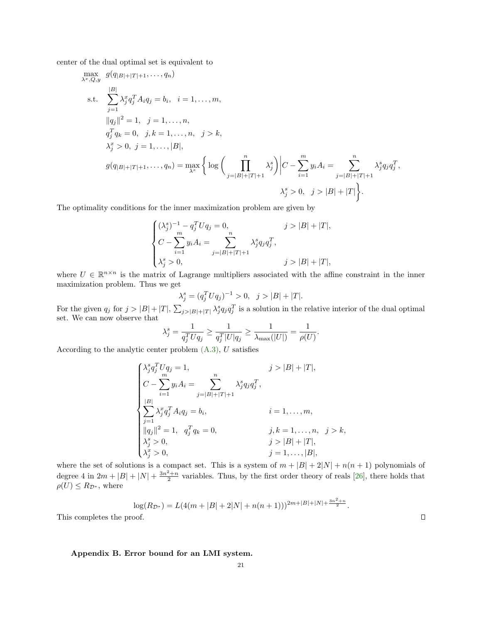center of the dual optimal set is equivalent to

$$
\max_{\lambda^x, Q, y} g(q_{|B|+|T|+1}, \dots, q_n)
$$
\n
$$
\text{s.t. } \sum_{j=1}^{|B|} \lambda_j^x q_j^T A_i q_j = b_i, \quad i = 1, \dots, m,
$$
\n
$$
||q_j||^2 = 1, \quad j = 1, \dots, n,
$$
\n
$$
q_j^T q_k = 0, \quad j, k = 1, \dots, n, \quad j > k,
$$
\n
$$
\lambda_j^x > 0, \quad j = 1, \dots, |B|,
$$
\n
$$
g(q_{|B|+|T|+1}, \dots, q_n) = \max_{\lambda^s} \left\{ \log \left( \prod_{j=|B|+|T|+1}^n \lambda_j^s \right) \middle| C - \sum_{i=1}^m y_i A_i = \sum_{j=|B|+|T|+1}^n \lambda_j^s q_j q_j^T, \quad \lambda_j^s > 0, \quad j > |B| + |T| \right\}.
$$

The optimality conditions for the inner maximization problem are given by

$$
\begin{cases} (\lambda_j^s)^{-1} - q_j^T U q_j = 0, & j > |B| + |T|, \\ C - \sum_{i=1}^m y_i A_i = \sum_{j=|B|+|T|+1} \lambda_j^s q_j q_j^T, \\ \lambda_j^s > 0, & j > |B| + |T|, \end{cases}
$$

where  $U \in \mathbb{R}^{n \times n}$  is the matrix of Lagrange multipliers associated with the affine constraint in the inner maximization problem. Thus we get

$$
\lambda_j^s = (q_j^T U q_j)^{-1} > 0, \ \ j > |B| + |T|.
$$

For the given  $q_j$  for  $j > |B| + |T|$ ,  $\sum_{j > |B| + |T|} \lambda_j^s q_j q_j^T$  is a solution in the relative interior of the dual optimal set. We can now observe that

$$
\lambda_j^s = \frac{1}{q_j^T U q_j} \ge \frac{1}{q_j^T |U| q_j} \ge \frac{1}{\lambda_{\max}(|U|)} = \frac{1}{\rho(U)}
$$

.

 $\Box$ 

According to the analytic center problem  $(A.3)$ , U satisfies

$$
\begin{cases}\n\lambda_j^s q_j^T U q_j = 1, & j > |B| + |T|, \\
C - \sum_{i=1}^m y_i A_i = \sum_{j=|B|+|T|+1}^n \lambda_j^s q_j q_j^T, \\
\sum_{j=1}^{|B|} \lambda_j^x q_j^T A_i q_j = b_i, & i = 1, ..., m, \\
\|q_j\|^2 = 1, & q_j^T q_k = 0, & j, k = 1, ..., n, \ j > k, \\
\lambda_j^s > 0, & j > |B| + |T|, \\
\lambda_j^x > 0, & j = 1, ..., |B|,\n\end{cases}
$$

where the set of solutions is a compact set. This is a system of  $m + |B| + 2|N| + n(n + 1)$  polynomials of degree 4 in  $2m + |B| + |N| + \frac{3n^2+n}{2}$  variables. Thus, by the first order theory of reals [\[26\]](#page-22-19), there holds that  $\rho(U) \le R_{\mathcal{D}^*}$ , where

<span id="page-20-0"></span>
$$
\log(R_{\mathcal{D}^*}) = L(4(m+|B|+2|N|+n(n+1)))^{2m+|B|+|N|+\frac{3n^2+n}{2}}.
$$

This completes the proof.

#### Appendix B. Error bound for an LMI system.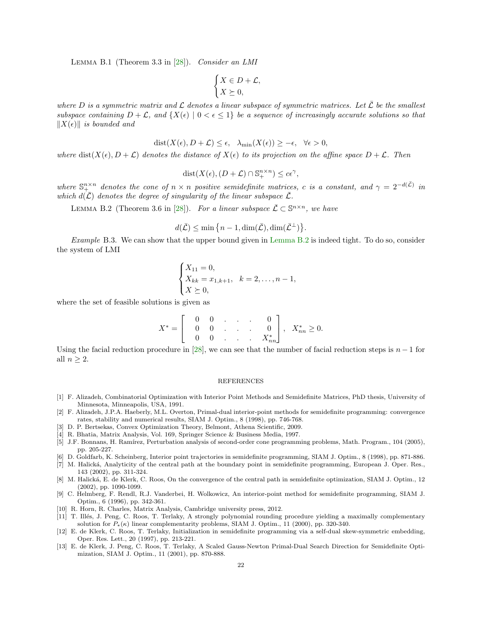Lemma B.1 (Theorem 3.3 in [\[28\]](#page-22-12)). Consider an LMI

$$
\begin{cases} X \in D + \mathcal{L}, \\ X \succeq 0, \end{cases}
$$

where D is a symmetric matrix and  $\mathcal L$  denotes a linear subspace of symmetric matrices. Let  $\bar{\mathcal L}$  be the smallest subspace containing  $D + \mathcal{L}$ , and  $\{X(\epsilon) \mid 0 < \epsilon \leq 1\}$  be a sequence of increasingly accurate solutions so that  $||X(\epsilon)||$  is bounded and

$$
dist(X(\epsilon), D + \mathcal{L}) \le \epsilon, \quad \lambda_{\min}(X(\epsilon)) \ge -\epsilon, \quad \forall \epsilon > 0,
$$

where dist( $X(\epsilon), D + \mathcal{L}$ ) denotes the distance of  $X(\epsilon)$  to its projection on the affine space  $D + \mathcal{L}$ . Then

$$
dist(X(\epsilon), (D+\mathcal{L}) \cap \mathbb{S}^{n \times n}_+) \leq c\epsilon^{\gamma},
$$

where  $\mathbb{S}_{+}^{n\times n}$  denotes the cone of  $n \times n$  positive semidefinite matrices, c is a constant, and  $\gamma = 2^{-d(\bar{\mathcal{L}})}$  in which  $d(\bar{\mathcal{L}})$  denotes the degree of singularity of the linear subspace  $\bar{\mathcal{L}}$ .

<span id="page-21-13"></span>LEMMA B.2 (Theorem 3.6 in [\[28\]](#page-22-12)). For a linear subspace  $\bar{\mathcal{L}} \subset \mathbb{S}^{n \times n}$ , we have

$$
d(\bar{\mathcal{L}}) \le \min\big\{n-1, \dim(\bar{\mathcal{L}}), \dim(\bar{\mathcal{L}}^{\perp})\big\}.
$$

Example B.3. We can show that the upper bound given in [Lemma B.2](#page-21-13) is indeed tight. To do so, consider the system of LMI

$$
\begin{cases} X_{11} = 0, \\ X_{kk} = x_{1,k+1}, & k = 2, \dots, n-1, \\ X \succeq 0, \end{cases}
$$

where the set of feasible solutions is given as

$$
X^* = \begin{bmatrix} 0 & 0 & \cdot & \cdot & \cdot & 0 \\ 0 & 0 & \cdot & \cdot & \cdot & 0 \\ 0 & 0 & \cdot & \cdot & \cdot & X^*_{nn} \end{bmatrix}, \quad X^*_{nn} \ge 0.
$$

Using the facial reduction procedure in [\[28\]](#page-22-12), we can see that the number of facial reduction steps is  $n-1$  for all  $n > 2$ .

#### REFERENCES

- <span id="page-21-0"></span>[1] F. Alizadeh, Combinatorial Optimization with Interior Point Methods and Semidefinite Matrices, PhD thesis, University of Minnesota, Minneapolis, USA, 1991.
- <span id="page-21-4"></span>[2] F. Alizadeh, J.P.A. Haeberly, M.L. Overton, Primal-dual interior-point methods for semidefinite programming: convergence rates, stability and numerical results, SIAM J. Optim., 8 (1998), pp. 746-768.
- <span id="page-21-12"></span>[3] D. P. Bertsekas, Convex Optimization Theory, Belmont, Athena Scientific, 2009.
- <span id="page-21-10"></span>[4] R. Bhatia, Matrix Analysis, Vol. 169, Springer Science & Business Media, 1997.
- <span id="page-21-9"></span>[5] J.F. Bonnans, H. Ramírez, Perturbation analysis of second-order cone programming problems, Math. Program., 104 (2005), pp. 205-227.
- <span id="page-21-1"></span>[6] D. Goldfarb, K. Scheinberg, Interior point trajectories in semidefinite programming, SIAM J. Optim., 8 (1998), pp. 871-886.
- <span id="page-21-7"></span>[7] M. Halická, Analyticity of the central path at the boundary point in semidefinite programming, European J. Oper. Res., 143 (2002), pp. 311-324.
- <span id="page-21-3"></span>[8] M. Halická, E. de Klerk, C. Roos, On the convergence of the central path in semidefinite optimization, SIAM J. Optim., 12 (2002), pp. 1090-1099.
- <span id="page-21-5"></span>[9] C. Helmberg, F. Rendl, R.J. Vanderbei, H. Wolkowicz, An interior-point method for semidefinite programming, SIAM J. Optim., 6 (1996), pp. 342-361.
- <span id="page-21-11"></span>[10] R. Horn, R. Charles, Matrix Analysis, Cambridge university press, 2012.
- <span id="page-21-8"></span>[11] T. Illés, J. Peng, C. Roos, T. Terlaky, A strongly polynomial rounding procedure yielding a maximally complementary solution for  $P_*(\kappa)$  linear complementarity problems, SIAM J. Optim., 11 (2000), pp. 320-340.
- <span id="page-21-2"></span>[12] E. de Klerk, C. Roos, T. Terlaky, Initialization in semidefinite programming via a self-dual skew-symmetric embedding, Oper. Res. Lett., 20 (1997), pp. 213-221.
- <span id="page-21-6"></span>[13] E. de Klerk, J. Peng, C. Roos, T. Terlaky, A Scaled Gauss-Newton Primal-Dual Search Direction for Semidefinite Optimization, SIAM J. Optim., 11 (2001), pp. 870-888.